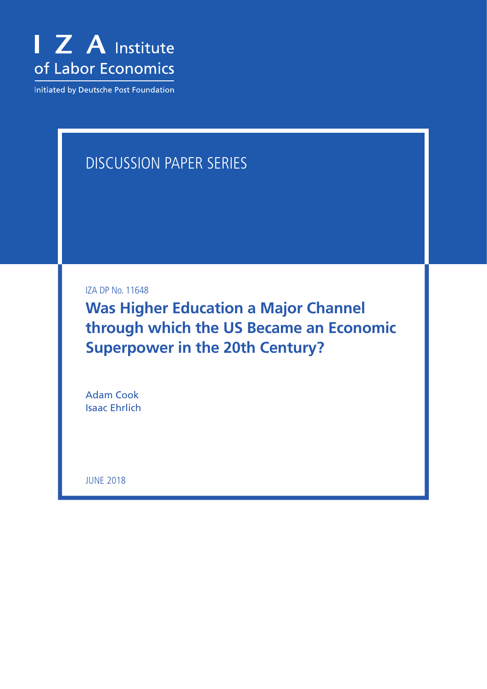

Initiated by Deutsche Post Foundation

# DISCUSSION PAPER SERIES

IZA DP No. 11648

**Was Higher Education a Major Channel through which the US Became an Economic Superpower in the 20th Century?**

Adam Cook Isaac Ehrlich

JUNE 2018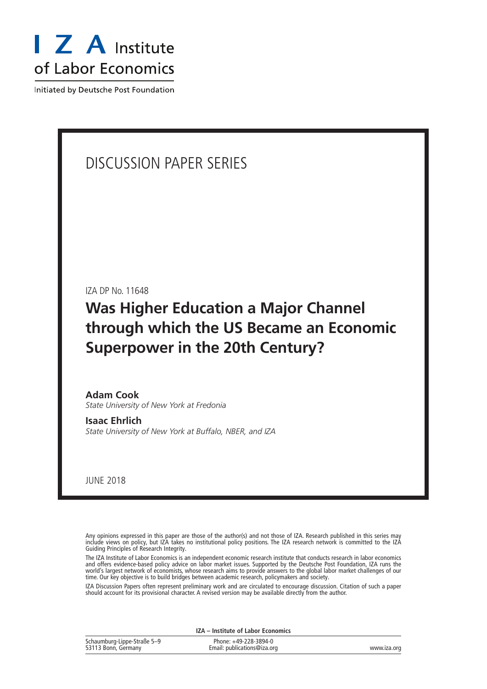

Initiated by Deutsche Post Foundation

## DISCUSSION PAPER SERIES

IZA DP No. 11648

## **Was Higher Education a Major Channel through which the US Became an Economic Superpower in the 20th Century?**

**Adam Cook** *State University of New York at Fredonia*

**Isaac Ehrlich** *State University of New York at Buffalo, NBER, and IZA*

JUNE 2018

Any opinions expressed in this paper are those of the author(s) and not those of IZA. Research published in this series may include views on policy, but IZA takes no institutional policy positions. The IZA research network is committed to the IZA Guiding Principles of Research Integrity.

The IZA Institute of Labor Economics is an independent economic research institute that conducts research in labor economics and offers evidence-based policy advice on labor market issues. Supported by the Deutsche Post Foundation, IZA runs the world's largest network of economists, whose research aims to provide answers to the global labor market challenges of our time. Our key objective is to build bridges between academic research, policymakers and society.

IZA Discussion Papers often represent preliminary work and are circulated to encourage discussion. Citation of such a paper should account for its provisional character. A revised version may be available directly from the author.

|                                                    | IZA - Institute of Labor Economics                   |             |
|----------------------------------------------------|------------------------------------------------------|-------------|
| Schaumburg-Lippe-Straße 5-9<br>53113 Bonn, Germany | Phone: +49-228-3894-0<br>Email: publications@iza.org | www.iza.org |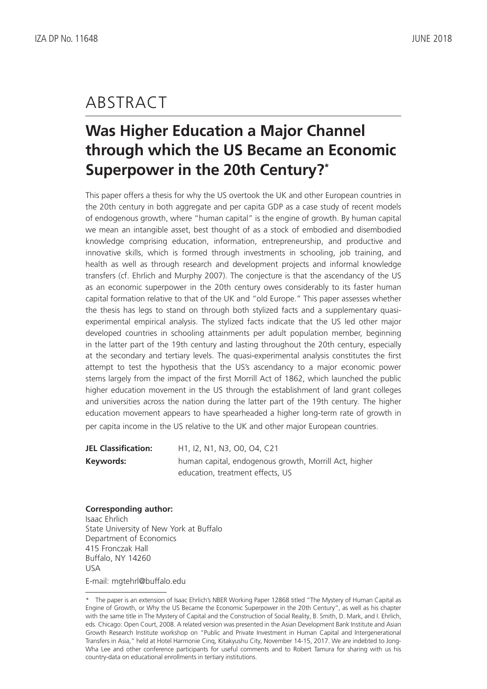## ABSTRACT

# **Was Higher Education a Major Channel through which the US Became an Economic Superpower in the 20th Century?\***

This paper offers a thesis for why the US overtook the UK and other European countries in the 20th century in both aggregate and per capita GDP as a case study of recent models of endogenous growth, where "human capital" is the engine of growth. By human capital we mean an intangible asset, best thought of as a stock of embodied and disembodied knowledge comprising education, information, entrepreneurship, and productive and innovative skills, which is formed through investments in schooling, job training, and health as well as through research and development projects and informal knowledge transfers (cf. Ehrlich and Murphy 2007). The conjecture is that the ascendancy of the US as an economic superpower in the 20th century owes considerably to its faster human capital formation relative to that of the UK and "old Europe." This paper assesses whether the thesis has legs to stand on through both stylized facts and a supplementary quasiexperimental empirical analysis. The stylized facts indicate that the US led other major developed countries in schooling attainments per adult population member, beginning in the latter part of the 19th century and lasting throughout the 20th century, especially at the secondary and tertiary levels. The quasi-experimental analysis constitutes the first attempt to test the hypothesis that the US's ascendancy to a major economic power stems largely from the impact of the first Morrill Act of 1862, which launched the public higher education movement in the US through the establishment of land grant colleges and universities across the nation during the latter part of the 19th century. The higher education movement appears to have spearheaded a higher long-term rate of growth in per capita income in the US relative to the UK and other major European countries.

| <b>JEL Classification:</b> | H1, I2, N1, N3, O0, O4, C21                           |
|----------------------------|-------------------------------------------------------|
| Keywords:                  | human capital, endogenous growth, Morrill Act, higher |
|                            | education, treatment effects, US                      |

#### **Corresponding author:** Isaac Ehrlich State University of New York at Buffalo Department of Economics 415 Fronczak Hall Buffalo, NY 14260 USA

E-mail: mgtehrl@buffalo.edu

<sup>\*</sup> The paper is an extension of Isaac Ehrlich's NBER Working Paper 12868 titled "The Mystery of Human Capital as Engine of Growth, or Why the US Became the Economic Superpower in the 20th Century", as well as his chapter with the same title in The Mystery of Capital and the Construction of Social Reality, B. Smith, D. Mark, and I. Ehrlich, eds. Chicago: Open Court, 2008. A related version was presented in the Asian Development Bank Institute and Asian Growth Research Institute workshop on "Public and Private Investment in Human Capital and Intergenerational Transfers in Asia," held at Hotel Harmonie Cinq, Kitakyushu City, November 14-15, 2017. We are indebted to Jong-Wha Lee and other conference participants for useful comments and to Robert Tamura for sharing with us his country-data on educational enrollments in tertiary institutions.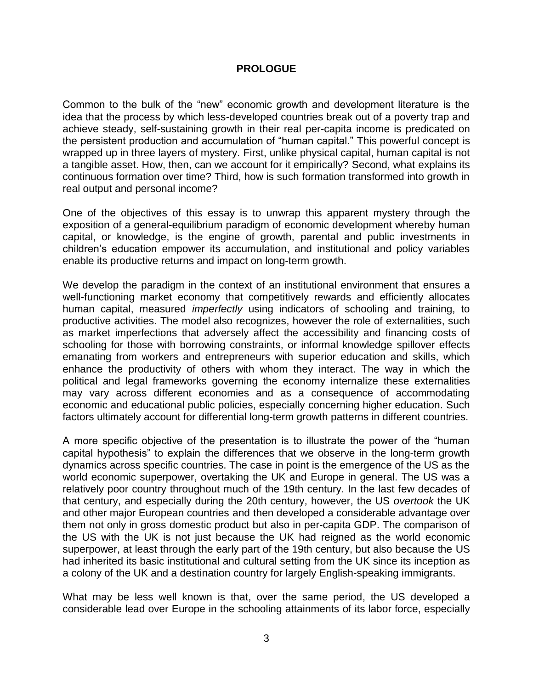#### **PROLOGUE**

Common to the bulk of the "new" economic growth and development literature is the idea that the process by which less-developed countries break out of a poverty trap and achieve steady, self-sustaining growth in their real per-capita income is predicated on the persistent production and accumulation of "human capital." This powerful concept is wrapped up in three layers of mystery. First, unlike physical capital, human capital is not a tangible asset. How, then, can we account for it empirically? Second, what explains its continuous formation over time? Third, how is such formation transformed into growth in real output and personal income?

One of the objectives of this essay is to unwrap this apparent mystery through the exposition of a general-equilibrium paradigm of economic development whereby human capital, or knowledge, is the engine of growth, parental and public investments in children's education empower its accumulation, and institutional and policy variables enable its productive returns and impact on long-term growth.

We develop the paradigm in the context of an institutional environment that ensures a well-functioning market economy that competitively rewards and efficiently allocates human capital, measured *imperfectly* using indicators of schooling and training, to productive activities. The model also recognizes, however the role of externalities, such as market imperfections that adversely affect the accessibility and financing costs of schooling for those with borrowing constraints, or informal knowledge spillover effects emanating from workers and entrepreneurs with superior education and skills, which enhance the productivity of others with whom they interact. The way in which the political and legal frameworks governing the economy internalize these externalities may vary across different economies and as a consequence of accommodating economic and educational public policies, especially concerning higher education. Such factors ultimately account for differential long-term growth patterns in different countries.

A more specific objective of the presentation is to illustrate the power of the "human capital hypothesis" to explain the differences that we observe in the long-term growth dynamics across specific countries. The case in point is the emergence of the US as the world economic superpower, overtaking the UK and Europe in general. The US was a relatively poor country throughout much of the 19th century. In the last few decades of that century, and especially during the 20th century, however, the US *overtook* the UK and other major European countries and then developed a considerable advantage over them not only in gross domestic product but also in per-capita GDP. The comparison of the US with the UK is not just because the UK had reigned as the world economic superpower, at least through the early part of the 19th century, but also because the US had inherited its basic institutional and cultural setting from the UK since its inception as a colony of the UK and a destination country for largely English-speaking immigrants.

What may be less well known is that, over the same period, the US developed a considerable lead over Europe in the schooling attainments of its labor force, especially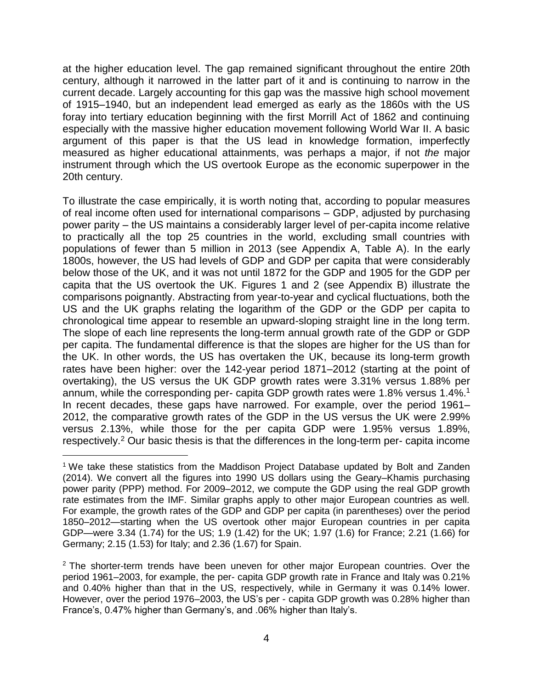at the higher education level. The gap remained significant throughout the entire 20th century, although it narrowed in the latter part of it and is continuing to narrow in the current decade. Largely accounting for this gap was the massive high school movement of 1915–1940, but an independent lead emerged as early as the 1860s with the US foray into tertiary education beginning with the first Morrill Act of 1862 and continuing especially with the massive higher education movement following World War II. A basic argument of this paper is that the US lead in knowledge formation, imperfectly measured as higher educational attainments, was perhaps a major, if not *the* major instrument through which the US overtook Europe as the economic superpower in the 20th century.

To illustrate the case empirically, it is worth noting that, according to popular measures of real income often used for international comparisons – GDP, adjusted by purchasing power parity – the US maintains a considerably larger level of per-capita income relative to practically all the top 25 countries in the world, excluding small countries with populations of fewer than 5 million in 2013 (see Appendix A, Table A). In the early 1800s, however, the US had levels of GDP and GDP per capita that were considerably below those of the UK, and it was not until 1872 for the GDP and 1905 for the GDP per capita that the US overtook the UK. Figures 1 and 2 (see Appendix B) illustrate the comparisons poignantly. Abstracting from year-to-year and cyclical fluctuations, both the US and the UK graphs relating the logarithm of the GDP or the GDP per capita to chronological time appear to resemble an upward-sloping straight line in the long term. The slope of each line represents the long-term annual growth rate of the GDP or GDP per capita. The fundamental difference is that the slopes are higher for the US than for the UK. In other words, the US has overtaken the UK, because its long-term growth rates have been higher: over the 142-year period 1871–2012 (starting at the point of overtaking), the US versus the UK GDP growth rates were 3.31% versus 1.88% per annum, while the corresponding per- capita GDP growth rates were 1.8% versus 1.4%.<sup>1</sup> In recent decades, these gaps have narrowed. For example, over the period 1961– 2012, the comparative growth rates of the GDP in the US versus the UK were 2.99% versus 2.13%, while those for the per capita GDP were 1.95% versus 1.89%, respectively.<sup>2</sup> Our basic thesis is that the differences in the long-term per- capita income

 $\overline{a}$ 

<sup>&</sup>lt;sup>1</sup> We take these statistics from the Maddison Project Database updated by Bolt and Zanden (2014). We convert all the figures into 1990 US dollars using the Geary–Khamis purchasing power parity (PPP) method. For 2009–2012, we compute the GDP using the real GDP growth rate estimates from the IMF. Similar graphs apply to other major European countries as well. For example, the growth rates of the GDP and GDP per capita (in parentheses) over the period 1850–2012—starting when the US overtook other major European countries in per capita GDP—were 3.34 (1.74) for the US; 1.9 (1.42) for the UK; 1.97 (1.6) for France; 2.21 (1.66) for Germany; 2.15 (1.53) for Italy; and 2.36 (1.67) for Spain.

 $2$  The shorter-term trends have been uneven for other major European countries. Over the period 1961–2003, for example, the per- capita GDP growth rate in France and Italy was 0.21% and 0.40% higher than that in the US, respectively, while in Germany it was 0.14% lower. However, over the period 1976–2003, the US's per - capita GDP growth was 0.28% higher than France's, 0.47% higher than Germany's, and .06% higher than Italy's.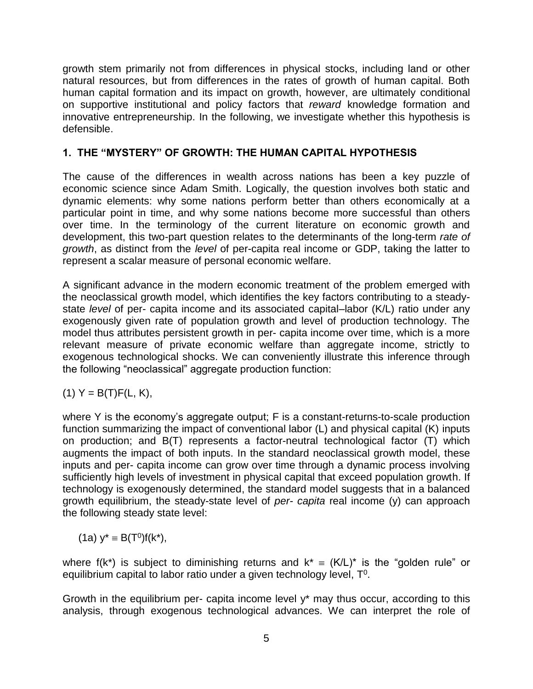growth stem primarily not from differences in physical stocks, including land or other natural resources, but from differences in the rates of growth of human capital. Both human capital formation and its impact on growth, however, are ultimately conditional on supportive institutional and policy factors that *reward* knowledge formation and innovative entrepreneurship. In the following, we investigate whether this hypothesis is defensible.

### **1. THE "MYSTERY" OF GROWTH: THE HUMAN CAPITAL HYPOTHESIS**

The cause of the differences in wealth across nations has been a key puzzle of economic science since Adam Smith. Logically, the question involves both static and dynamic elements: why some nations perform better than others economically at a particular point in time, and why some nations become more successful than others over time. In the terminology of the current literature on economic growth and development, this two-part question relates to the determinants of the long-term *rate of growth*, as distinct from the *level* of per-capita real income or GDP, taking the latter to represent a scalar measure of personal economic welfare.

A significant advance in the modern economic treatment of the problem emerged with the neoclassical growth model, which identifies the key factors contributing to a steadystate *level* of per- capita income and its associated capital–labor (K/L) ratio under any exogenously given rate of population growth and level of production technology. The model thus attributes persistent growth in per- capita income over time, which is a more relevant measure of private economic welfare than aggregate income, strictly to exogenous technological shocks. We can conveniently illustrate this inference through the following "neoclassical" aggregate production function:

 $(1)$  Y = B(T)F(L, K),

where Y is the economy's aggregate output; F is a constant-returns-to-scale production function summarizing the impact of conventional labor (L) and physical capital (K) inputs on production; and B(T) represents a factor-neutral technological factor (T) which augments the impact of both inputs. In the standard neoclassical growth model, these inputs and per- capita income can grow over time through a dynamic process involving sufficiently high levels of investment in physical capital that exceed population growth. If technology is exogenously determined, the standard model suggests that in a balanced growth equilibrium, the steady-state level of *per- capita* real income (y) can approach the following steady state level:

$$
(1a) y^* = B(T^0)f(k^*),
$$

where  $f(k^*)$  is subject to diminishing returns and  $k^* \equiv (K/L)^*$  is the "golden rule" or equilibrium capital to labor ratio under a given technology level,  $T^0$ .

Growth in the equilibrium per- capita income level  $y^*$  may thus occur, according to this analysis, through exogenous technological advances. We can interpret the role of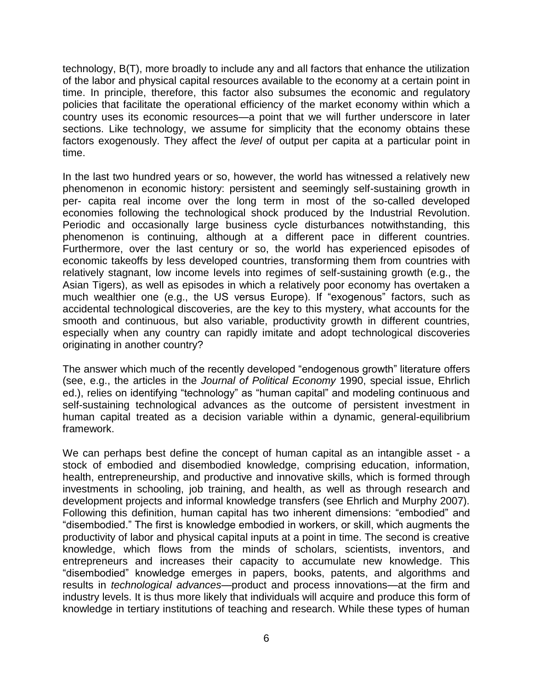technology, B(T), more broadly to include any and all factors that enhance the utilization of the labor and physical capital resources available to the economy at a certain point in time. In principle, therefore, this factor also subsumes the economic and regulatory policies that facilitate the operational efficiency of the market economy within which a country uses its economic resources—a point that we will further underscore in later sections. Like technology, we assume for simplicity that the economy obtains these factors exogenously. They affect the *level* of output per capita at a particular point in time.

In the last two hundred years or so, however, the world has witnessed a relatively new phenomenon in economic history: persistent and seemingly self-sustaining growth in per- capita real income over the long term in most of the so-called developed economies following the technological shock produced by the Industrial Revolution. Periodic and occasionally large business cycle disturbances notwithstanding, this phenomenon is continuing, although at a different pace in different countries. Furthermore, over the last century or so, the world has experienced episodes of economic takeoffs by less developed countries, transforming them from countries with relatively stagnant, low income levels into regimes of self-sustaining growth (e.g., the Asian Tigers), as well as episodes in which a relatively poor economy has overtaken a much wealthier one (e.g., the US versus Europe). If "exogenous" factors, such as accidental technological discoveries, are the key to this mystery, what accounts for the smooth and continuous, but also variable, productivity growth in different countries, especially when any country can rapidly imitate and adopt technological discoveries originating in another country?

The answer which much of the recently developed "endogenous growth" literature offers (see, e.g., the articles in the *Journal of Political Economy* 1990, special issue, Ehrlich ed.), relies on identifying "technology" as "human capital" and modeling continuous and self-sustaining technological advances as the outcome of persistent investment in human capital treated as a decision variable within a dynamic, general-equilibrium framework.

We can perhaps best define the concept of human capital as an intangible asset - a stock of embodied and disembodied knowledge, comprising education, information, health, entrepreneurship, and productive and innovative skills, which is formed through investments in schooling, job training, and health, as well as through research and development projects and informal knowledge transfers (see Ehrlich and Murphy 2007). Following this definition, human capital has two inherent dimensions: "embodied" and "disembodied." The first is knowledge embodied in workers, or skill, which augments the productivity of labor and physical capital inputs at a point in time. The second is creative knowledge, which flows from the minds of scholars, scientists, inventors, and entrepreneurs and increases their capacity to accumulate new knowledge. This "disembodied" knowledge emerges in papers, books, patents, and algorithms and results in *technological advances*—product and process innovations—at the firm and industry levels. It is thus more likely that individuals will acquire and produce this form of knowledge in tertiary institutions of teaching and research. While these types of human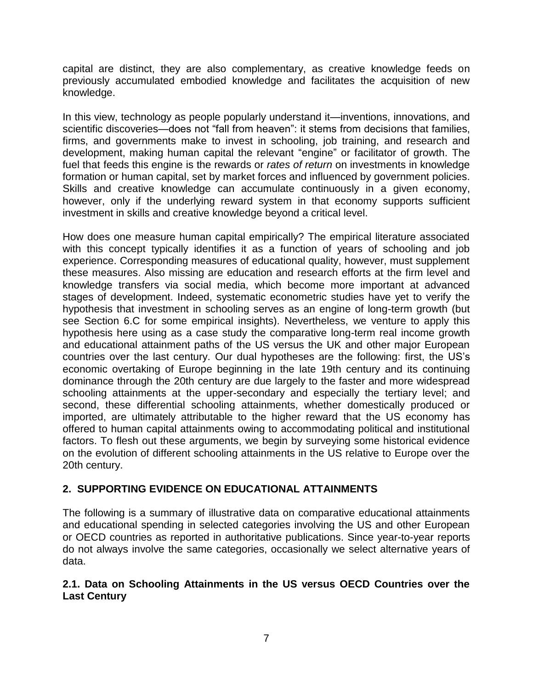capital are distinct, they are also complementary, as creative knowledge feeds on previously accumulated embodied knowledge and facilitates the acquisition of new knowledge.

In this view, technology as people popularly understand it—inventions, innovations, and scientific discoveries—does not "fall from heaven": it stems from decisions that families, firms, and governments make to invest in schooling, job training, and research and development, making human capital the relevant "engine" or facilitator of growth. The fuel that feeds this engine is the rewards or *rates of return* on investments in knowledge formation or human capital, set by market forces and influenced by government policies. Skills and creative knowledge can accumulate continuously in a given economy, however, only if the underlying reward system in that economy supports sufficient investment in skills and creative knowledge beyond a critical level.

How does one measure human capital empirically? The empirical literature associated with this concept typically identifies it as a function of years of schooling and job experience. Corresponding measures of educational quality, however, must supplement these measures. Also missing are education and research efforts at the firm level and knowledge transfers via social media, which become more important at advanced stages of development. Indeed, systematic econometric studies have yet to verify the hypothesis that investment in schooling serves as an engine of long-term growth (but see Section 6.C for some empirical insights). Nevertheless, we venture to apply this hypothesis here using as a case study the comparative long-term real income growth and educational attainment paths of the US versus the UK and other major European countries over the last century. Our dual hypotheses are the following: first, the US's economic overtaking of Europe beginning in the late 19th century and its continuing dominance through the 20th century are due largely to the faster and more widespread schooling attainments at the upper-secondary and especially the tertiary level; and second, these differential schooling attainments, whether domestically produced or imported, are ultimately attributable to the higher reward that the US economy has offered to human capital attainments owing to accommodating political and institutional factors. To flesh out these arguments, we begin by surveying some historical evidence on the evolution of different schooling attainments in the US relative to Europe over the 20th century.

## **2. SUPPORTING EVIDENCE ON EDUCATIONAL ATTAINMENTS**

The following is a summary of illustrative data on comparative educational attainments and educational spending in selected categories involving the US and other European or OECD countries as reported in authoritative publications. Since year-to-year reports do not always involve the same categories, occasionally we select alternative years of data.

#### **2.1. Data on Schooling Attainments in the US versus OECD Countries over the Last Century**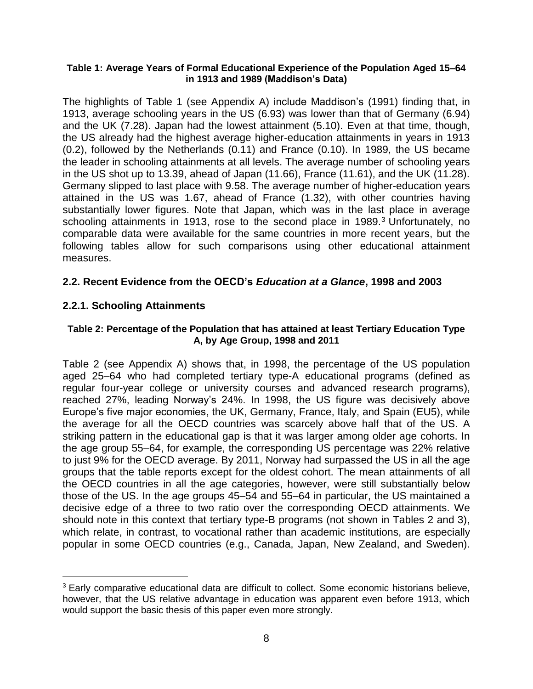#### **Table 1: Average Years of Formal Educational Experience of the Population Aged 15–64 in 1913 and 1989 (Maddison's Data)**

The highlights of Table 1 (see Appendix A) include Maddison's (1991) finding that, in 1913, average schooling years in the US (6.93) was lower than that of Germany (6.94) and the UK (7.28). Japan had the lowest attainment (5.10). Even at that time, though, the US already had the highest average higher-education attainments in years in 1913 (0.2), followed by the Netherlands (0.11) and France (0.10). In 1989, the US became the leader in schooling attainments at all levels. The average number of schooling years in the US shot up to 13.39, ahead of Japan (11.66), France (11.61), and the UK (11.28). Germany slipped to last place with 9.58. The average number of higher-education years attained in the US was 1.67, ahead of France (1.32), with other countries having substantially lower figures. Note that Japan, which was in the last place in average schooling attainments in 1913, rose to the second place in 1989.<sup>3</sup> Unfortunately, no comparable data were available for the same countries in more recent years, but the following tables allow for such comparisons using other educational attainment measures.

#### **2.2. Recent Evidence from the OECD's** *Education at a Glance***, 1998 and 2003**

#### **2.2.1. Schooling Attainments**

 $\overline{a}$ 

#### **Table 2: Percentage of the Population that has attained at least Tertiary Education Type A, by Age Group, 1998 and 2011**

Table 2 (see Appendix A) shows that, in 1998, the percentage of the US population aged 25–64 who had completed tertiary type-A educational programs (defined as regular four-year college or university courses and advanced research programs), reached 27%, leading Norway's 24%. In 1998, the US figure was decisively above Europe's five major economies, the UK, Germany, France, Italy, and Spain (EU5), while the average for all the OECD countries was scarcely above half that of the US. A striking pattern in the educational gap is that it was larger among older age cohorts. In the age group 55–64, for example, the corresponding US percentage was 22% relative to just 9% for the OECD average. By 2011, Norway had surpassed the US in all the age groups that the table reports except for the oldest cohort. The mean attainments of all the OECD countries in all the age categories, however, were still substantially below those of the US. In the age groups 45–54 and 55–64 in particular, the US maintained a decisive edge of a three to two ratio over the corresponding OECD attainments. We should note in this context that tertiary type-B programs (not shown in Tables 2 and 3), which relate, in contrast, to vocational rather than academic institutions, are especially popular in some OECD countries (e.g., Canada, Japan, New Zealand, and Sweden).

<sup>&</sup>lt;sup>3</sup> Early comparative educational data are difficult to collect. Some economic historians believe, however, that the US relative advantage in education was apparent even before 1913, which would support the basic thesis of this paper even more strongly.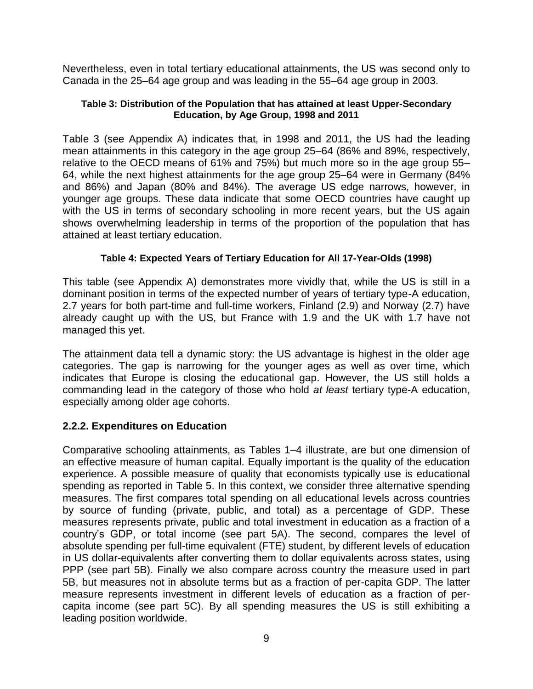Nevertheless, even in total tertiary educational attainments, the US was second only to Canada in the 25–64 age group and was leading in the 55–64 age group in 2003.

#### **Table 3: Distribution of the Population that has attained at least Upper-Secondary Education, by Age Group, 1998 and 2011**

Table 3 (see Appendix A) indicates that, in 1998 and 2011, the US had the leading mean attainments in this category in the age group 25–64 (86% and 89%, respectively, relative to the OECD means of 61% and 75%) but much more so in the age group 55– 64, while the next highest attainments for the age group 25–64 were in Germany (84% and 86%) and Japan (80% and 84%). The average US edge narrows, however, in younger age groups. These data indicate that some OECD countries have caught up with the US in terms of secondary schooling in more recent years, but the US again shows overwhelming leadership in terms of the proportion of the population that has attained at least tertiary education.

## **Table 4: Expected Years of Tertiary Education for All 17-Year-Olds (1998)**

This table (see Appendix A) demonstrates more vividly that, while the US is still in a dominant position in terms of the expected number of years of tertiary type-A education, 2.7 years for both part-time and full-time workers, Finland (2.9) and Norway (2.7) have already caught up with the US, but France with 1.9 and the UK with 1.7 have not managed this yet.

The attainment data tell a dynamic story: the US advantage is highest in the older age categories. The gap is narrowing for the younger ages as well as over time, which indicates that Europe is closing the educational gap. However, the US still holds a commanding lead in the category of those who hold *at least* tertiary type-A education, especially among older age cohorts.

## **2.2.2. Expenditures on Education**

Comparative schooling attainments, as Tables 1–4 illustrate, are but one dimension of an effective measure of human capital. Equally important is the quality of the education experience. A possible measure of quality that economists typically use is educational spending as reported in Table 5. In this context, we consider three alternative spending measures. The first compares total spending on all educational levels across countries by source of funding (private, public, and total) as a percentage of GDP. These measures represents private, public and total investment in education as a fraction of a country's GDP, or total income (see part 5A). The second, compares the level of absolute spending per full-time equivalent (FTE) student, by different levels of education in US dollar-equivalents after converting them to dollar equivalents across states, using PPP (see part 5B). Finally we also compare across country the measure used in part 5B, but measures not in absolute terms but as a fraction of per-capita GDP. The latter measure represents investment in different levels of education as a fraction of percapita income (see part 5C). By all spending measures the US is still exhibiting a leading position worldwide.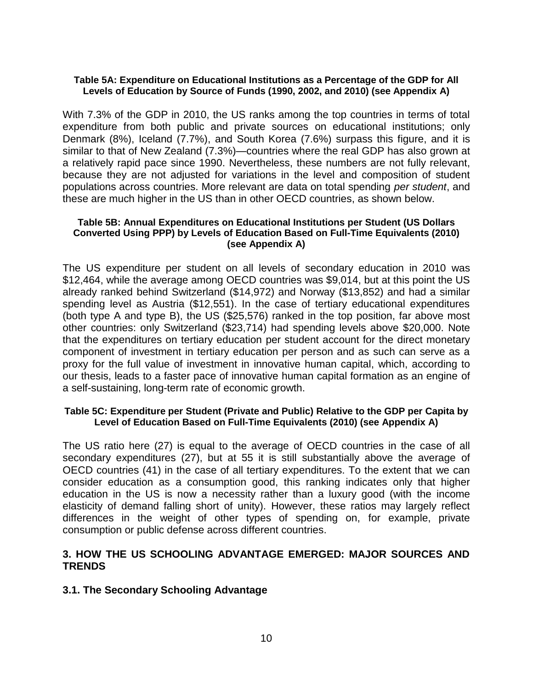#### **Table 5A: Expenditure on Educational Institutions as a Percentage of the GDP for All Levels of Education by Source of Funds (1990, 2002, and 2010) (see Appendix A)**

With 7.3% of the GDP in 2010, the US ranks among the top countries in terms of total expenditure from both public and private sources on educational institutions; only Denmark (8%), Iceland (7.7%), and South Korea (7.6%) surpass this figure, and it is similar to that of New Zealand (7.3%)—countries where the real GDP has also grown at a relatively rapid pace since 1990. Nevertheless, these numbers are not fully relevant, because they are not adjusted for variations in the level and composition of student populations across countries. More relevant are data on total spending *per student*, and these are much higher in the US than in other OECD countries, as shown below.

#### **Table 5B: Annual Expenditures on Educational Institutions per Student (US Dollars Converted Using PPP) by Levels of Education Based on Full-Time Equivalents (2010) (see Appendix A)**

The US expenditure per student on all levels of secondary education in 2010 was \$12,464, while the average among OECD countries was \$9,014, but at this point the US already ranked behind Switzerland (\$14,972) and Norway (\$13,852) and had a similar spending level as Austria (\$12,551). In the case of tertiary educational expenditures (both type A and type B), the US (\$25,576) ranked in the top position, far above most other countries: only Switzerland (\$23,714) had spending levels above \$20,000. Note that the expenditures on tertiary education per student account for the direct monetary component of investment in tertiary education per person and as such can serve as a proxy for the full value of investment in innovative human capital, which, according to our thesis, leads to a faster pace of innovative human capital formation as an engine of a self-sustaining, long-term rate of economic growth.

#### **Table 5C: Expenditure per Student (Private and Public) Relative to the GDP per Capita by Level of Education Based on Full-Time Equivalents (2010) (see Appendix A)**

The US ratio here (27) is equal to the average of OECD countries in the case of all secondary expenditures (27), but at 55 it is still substantially above the average of OECD countries (41) in the case of all tertiary expenditures. To the extent that we can consider education as a consumption good, this ranking indicates only that higher education in the US is now a necessity rather than a luxury good (with the income elasticity of demand falling short of unity). However, these ratios may largely reflect differences in the weight of other types of spending on, for example, private consumption or public defense across different countries.

#### **3. HOW THE US SCHOOLING ADVANTAGE EMERGED: MAJOR SOURCES AND TRENDS**

#### **3.1. The Secondary Schooling Advantage**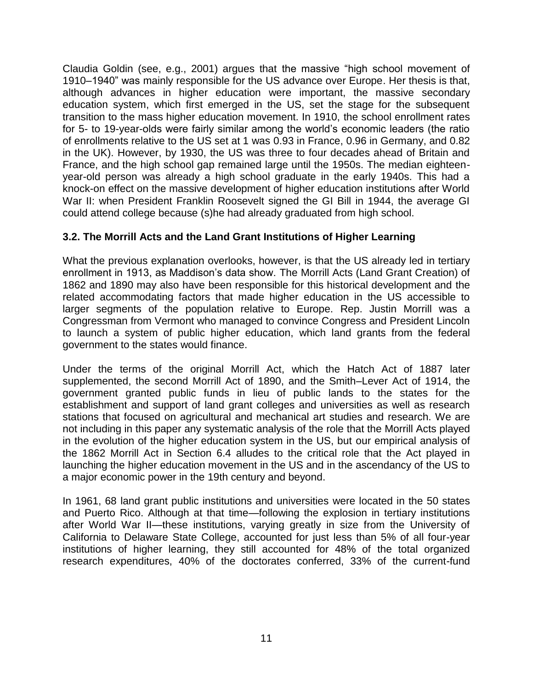Claudia Goldin (see, e.g., 2001) argues that the massive "high school movement of 1910–1940" was mainly responsible for the US advance over Europe. Her thesis is that, although advances in higher education were important, the massive secondary education system, which first emerged in the US, set the stage for the subsequent transition to the mass higher education movement. In 1910, the school enrollment rates for 5- to 19-year-olds were fairly similar among the world's economic leaders (the ratio of enrollments relative to the US set at 1 was 0.93 in France, 0.96 in Germany, and 0.82 in the UK). However, by 1930, the US was three to four decades ahead of Britain and France, and the high school gap remained large until the 1950s. The median eighteenyear-old person was already a high school graduate in the early 1940s. This had a knock-on effect on the massive development of higher education institutions after World War II: when President Franklin Roosevelt signed the GI Bill in 1944, the average GI could attend college because (s)he had already graduated from high school.

## **3.2. The Morrill Acts and the Land Grant Institutions of Higher Learning**

What the previous explanation overlooks, however, is that the US already led in tertiary enrollment in 1913, as Maddison's data show. The Morrill Acts (Land Grant Creation) of 1862 and 1890 may also have been responsible for this historical development and the related accommodating factors that made higher education in the US accessible to larger segments of the population relative to Europe. Rep. Justin Morrill was a Congressman from Vermont who managed to convince Congress and President Lincoln to launch a system of public higher education, which land grants from the federal government to the states would finance.

Under the terms of the original Morrill Act, which the Hatch Act of 1887 later supplemented, the second Morrill Act of 1890, and the Smith–Lever Act of 1914, the government granted public funds in lieu of public lands to the states for the establishment and support of land grant colleges and universities as well as research stations that focused on agricultural and mechanical art studies and research. We are not including in this paper any systematic analysis of the role that the Morrill Acts played in the evolution of the higher education system in the US, but our empirical analysis of the 1862 Morrill Act in Section 6.4 alludes to the critical role that the Act played in launching the higher education movement in the US and in the ascendancy of the US to a major economic power in the 19th century and beyond.

In 1961, 68 land grant public institutions and universities were located in the 50 states and Puerto Rico. Although at that time—following the explosion in tertiary institutions after World War II—these institutions, varying greatly in size from the University of California to Delaware State College, accounted for just less than 5% of all four-year institutions of higher learning, they still accounted for 48% of the total organized research expenditures, 40% of the doctorates conferred, 33% of the current-fund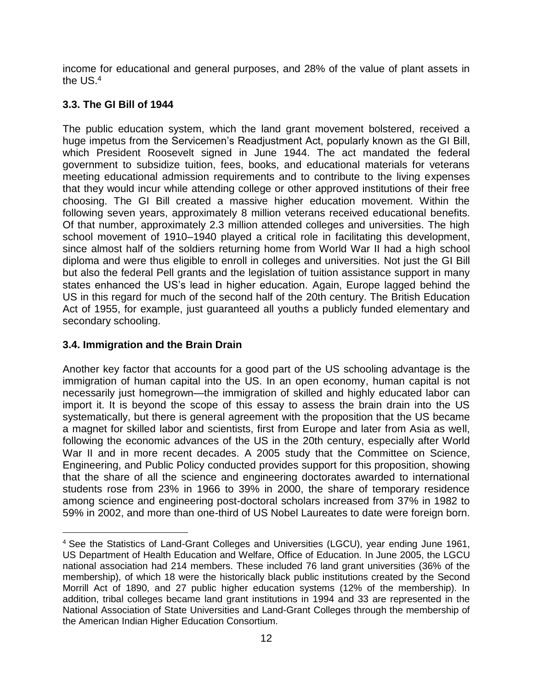income for educational and general purposes, and 28% of the value of plant assets in the US.<sup>4</sup>

## **3.3. The GI Bill of 1944**

The public education system, which the land grant movement bolstered, received a huge impetus from the Servicemen's Readjustment Act, popularly known as the GI Bill, which President Roosevelt signed in June 1944. The act mandated the federal government to subsidize tuition, fees, books, and educational materials for veterans meeting educational admission requirements and to contribute to the living expenses that they would incur while attending college or other approved institutions of their free choosing. The GI Bill created a massive higher education movement. Within the following seven years, approximately 8 million veterans received educational benefits. Of that number, approximately 2.3 million attended colleges and universities. The high school movement of 1910–1940 played a critical role in facilitating this development, since almost half of the soldiers returning home from World War II had a high school diploma and were thus eligible to enroll in colleges and universities. Not just the GI Bill but also the federal Pell grants and the legislation of tuition assistance support in many states enhanced the US's lead in higher education. Again, Europe lagged behind the US in this regard for much of the second half of the 20th century. The British Education Act of 1955, for example, just guaranteed all youths a publicly funded elementary and secondary schooling.

### **3.4. Immigration and the Brain Drain**

 $\overline{a}$ 

Another key factor that accounts for a good part of the US schooling advantage is the immigration of human capital into the US. In an open economy, human capital is not necessarily just homegrown—the immigration of skilled and highly educated labor can import it. It is beyond the scope of this essay to assess the brain drain into the US systematically, but there is general agreement with the proposition that the US became a magnet for skilled labor and scientists, first from Europe and later from Asia as well, following the economic advances of the US in the 20th century, especially after World War II and in more recent decades. A 2005 study that the Committee on Science, Engineering, and Public Policy conducted provides support for this proposition, showing that the share of all the science and engineering doctorates awarded to international students rose from 23% in 1966 to 39% in 2000, the share of temporary residence among science and engineering post-doctoral scholars increased from 37% in 1982 to 59% in 2002, and more than one-third of US Nobel Laureates to date were foreign born.

<sup>4</sup> See the Statistics of Land-Grant Colleges and Universities (LGCU), year ending June 1961, US Department of Health Education and Welfare, Office of Education. In June 2005, the LGCU national association had 214 members. These included 76 land grant universities (36% of the membership), of which 18 were the historically black public institutions created by the Second Morrill Act of 1890, and 27 public higher education systems (12% of the membership). In addition, tribal colleges became land grant institutions in 1994 and 33 are represented in the National Association of State Universities and Land-Grant Colleges through the membership of the American Indian Higher Education Consortium.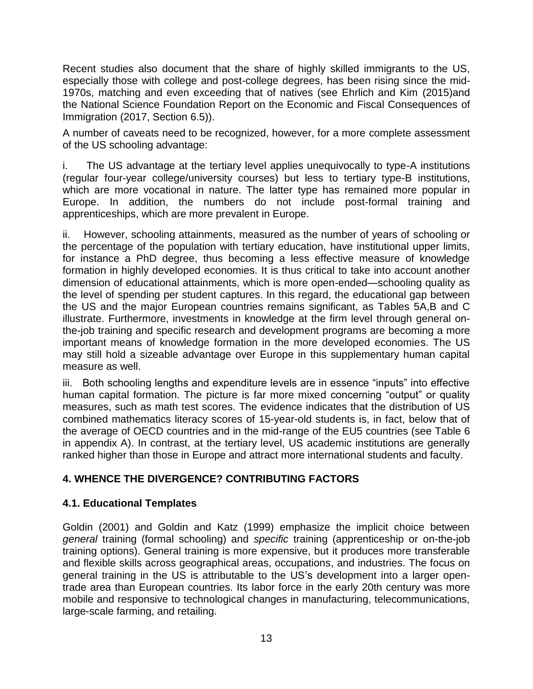Recent studies also document that the share of highly skilled immigrants to the US, especially those with college and post-college degrees, has been rising since the mid-1970s, matching and even exceeding that of natives (see Ehrlich and Kim (2015)and the National Science Foundation Report on the Economic and Fiscal Consequences of Immigration (2017, Section 6.5)).

A number of caveats need to be recognized, however, for a more complete assessment of the US schooling advantage:

i. The US advantage at the tertiary level applies unequivocally to type-A institutions (regular four-year college/university courses) but less to tertiary type-B institutions, which are more vocational in nature. The latter type has remained more popular in Europe. In addition, the numbers do not include post-formal training and apprenticeships, which are more prevalent in Europe.

ii. However, schooling attainments, measured as the number of years of schooling or the percentage of the population with tertiary education, have institutional upper limits, for instance a PhD degree, thus becoming a less effective measure of knowledge formation in highly developed economies. It is thus critical to take into account another dimension of educational attainments, which is more open-ended—schooling quality as the level of spending per student captures. In this regard, the educational gap between the US and the major European countries remains significant, as Tables 5A,B and C illustrate. Furthermore, investments in knowledge at the firm level through general onthe-job training and specific research and development programs are becoming a more important means of knowledge formation in the more developed economies. The US may still hold a sizeable advantage over Europe in this supplementary human capital measure as well.

iii. Both schooling lengths and expenditure levels are in essence "inputs" into effective human capital formation. The picture is far more mixed concerning "output" or quality measures, such as math test scores. The evidence indicates that the distribution of US combined mathematics literacy scores of 15-year-old students is, in fact, below that of the average of OECD countries and in the mid-range of the EU5 countries (see Table 6 in appendix A). In contrast, at the tertiary level, US academic institutions are generally ranked higher than those in Europe and attract more international students and faculty.

## **4. WHENCE THE DIVERGENCE? CONTRIBUTING FACTORS**

## **4.1. Educational Templates**

Goldin (2001) and Goldin and Katz (1999) emphasize the implicit choice between *general* training (formal schooling) and *specific* training (apprenticeship or on-the-job training options). General training is more expensive, but it produces more transferable and flexible skills across geographical areas, occupations, and industries. The focus on general training in the US is attributable to the US's development into a larger opentrade area than European countries. Its labor force in the early 20th century was more mobile and responsive to technological changes in manufacturing, telecommunications, large-scale farming, and retailing.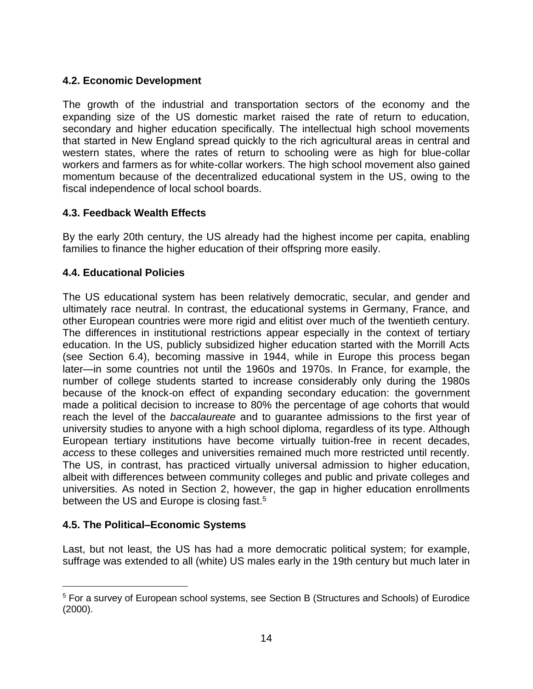## **4.2. Economic Development**

The growth of the industrial and transportation sectors of the economy and the expanding size of the US domestic market raised the rate of return to education, secondary and higher education specifically. The intellectual high school movements that started in New England spread quickly to the rich agricultural areas in central and western states, where the rates of return to schooling were as high for blue-collar workers and farmers as for white-collar workers. The high school movement also gained momentum because of the decentralized educational system in the US, owing to the fiscal independence of local school boards.

## **4.3. Feedback Wealth Effects**

By the early 20th century, the US already had the highest income per capita, enabling families to finance the higher education of their offspring more easily.

## **4.4. Educational Policies**

The US educational system has been relatively democratic, secular, and gender and ultimately race neutral. In contrast, the educational systems in Germany, France, and other European countries were more rigid and elitist over much of the twentieth century. The differences in institutional restrictions appear especially in the context of tertiary education. In the US, publicly subsidized higher education started with the Morrill Acts (see Section 6.4), becoming massive in 1944, while in Europe this process began later—in some countries not until the 1960s and 1970s. In France, for example, the number of college students started to increase considerably only during the 1980s because of the knock-on effect of expanding secondary education: the government made a political decision to increase to 80% the percentage of age cohorts that would reach the level of the *baccalaureate* and to guarantee admissions to the first year of university studies to anyone with a high school diploma, regardless of its type. Although European tertiary institutions have become virtually tuition-free in recent decades, *access* to these colleges and universities remained much more restricted until recently. The US, in contrast, has practiced virtually universal admission to higher education, albeit with differences between community colleges and public and private colleges and universities. As noted in Section 2, however, the gap in higher education enrollments between the US and Europe is closing fast.<sup>5</sup>

#### **4.5. The Political–Economic Systems**

 $\overline{a}$ 

Last, but not least, the US has had a more democratic political system; for example, suffrage was extended to all (white) US males early in the 19th century but much later in

<sup>5</sup> For a survey of European school systems, see Section B (Structures and Schools) of Eurodice (2000).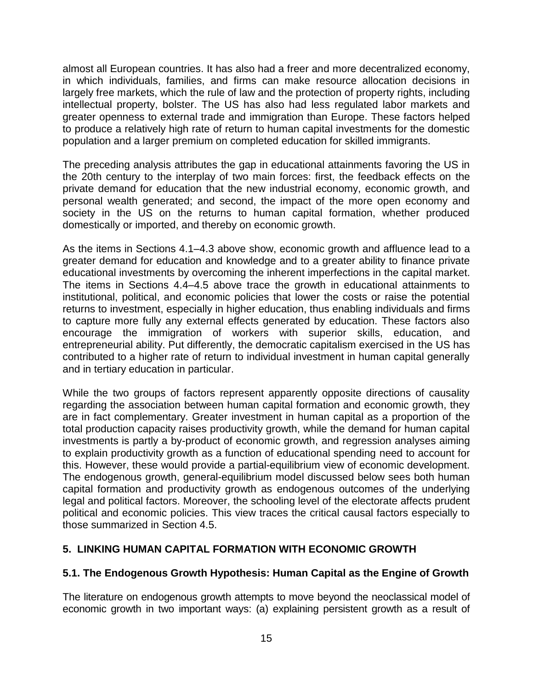almost all European countries. It has also had a freer and more decentralized economy, in which individuals, families, and firms can make resource allocation decisions in largely free markets, which the rule of law and the protection of property rights, including intellectual property, bolster. The US has also had less regulated labor markets and greater openness to external trade and immigration than Europe. These factors helped to produce a relatively high rate of return to human capital investments for the domestic population and a larger premium on completed education for skilled immigrants.

The preceding analysis attributes the gap in educational attainments favoring the US in the 20th century to the interplay of two main forces: first, the feedback effects on the private demand for education that the new industrial economy, economic growth, and personal wealth generated; and second, the impact of the more open economy and society in the US on the returns to human capital formation, whether produced domestically or imported, and thereby on economic growth.

As the items in Sections 4.1–4.3 above show, economic growth and affluence lead to a greater demand for education and knowledge and to a greater ability to finance private educational investments by overcoming the inherent imperfections in the capital market. The items in Sections 4.4–4.5 above trace the growth in educational attainments to institutional, political, and economic policies that lower the costs or raise the potential returns to investment, especially in higher education, thus enabling individuals and firms to capture more fully any external effects generated by education. These factors also encourage the immigration of workers with superior skills, education, and entrepreneurial ability. Put differently, the democratic capitalism exercised in the US has contributed to a higher rate of return to individual investment in human capital generally and in tertiary education in particular.

While the two groups of factors represent apparently opposite directions of causality regarding the association between human capital formation and economic growth, they are in fact complementary. Greater investment in human capital as a proportion of the total production capacity raises productivity growth, while the demand for human capital investments is partly a by-product of economic growth, and regression analyses aiming to explain productivity growth as a function of educational spending need to account for this. However, these would provide a partial-equilibrium view of economic development. The endogenous growth, general-equilibrium model discussed below sees both human capital formation and productivity growth as endogenous outcomes of the underlying legal and political factors. Moreover, the schooling level of the electorate affects prudent political and economic policies. This view traces the critical causal factors especially to those summarized in Section 4.5.

## **5. LINKING HUMAN CAPITAL FORMATION WITH ECONOMIC GROWTH**

## **5.1. The Endogenous Growth Hypothesis: Human Capital as the Engine of Growth**

The literature on endogenous growth attempts to move beyond the neoclassical model of economic growth in two important ways: (a) explaining persistent growth as a result of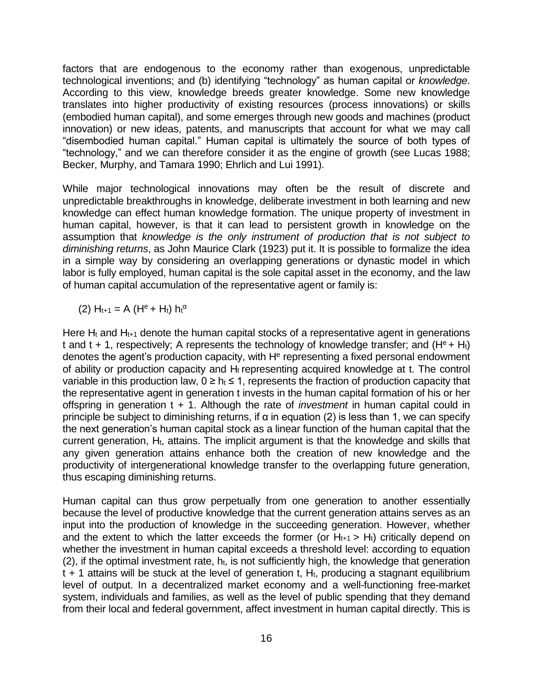factors that are endogenous to the economy rather than exogenous, unpredictable technological inventions; and (b) identifying "technology" as human capital or *knowledge*. According to this view, knowledge breeds greater knowledge. Some new knowledge translates into higher productivity of existing resources (process innovations) or skills (embodied human capital), and some emerges through new goods and machines (product innovation) or new ideas, patents, and manuscripts that account for what we may call "disembodied human capital." Human capital is ultimately the source of both types of "technology," and we can therefore consider it as the engine of growth (see Lucas 1988; Becker, Murphy, and Tamara 1990; Ehrlich and Lui 1991).

While major technological innovations may often be the result of discrete and unpredictable breakthroughs in knowledge, deliberate investment in both learning and new knowledge can effect human knowledge formation. The unique property of investment in human capital, however, is that it can lead to persistent growth in knowledge on the assumption that *knowledge is the only instrument of production that is not subject to diminishing returns*, as John Maurice Clark (1923) put it. It is possible to formalize the idea in a simple way by considering an overlapping generations or dynastic model in which labor is fully employed, human capital is the sole capital asset in the economy, and the law of human capital accumulation of the representative agent or family is:

(2)  $H_{t+1} = A (H^e + H_t) h_t^{\alpha}$ 

Here  $H_t$  and  $H_{t+1}$  denote the human capital stocks of a representative agent in generations t and t + 1, respectively; A represents the technology of knowledge transfer; and  $(H^e + H_t)$ denotes the agent's production capacity, with H<sup>e</sup> representing a fixed personal endowment of ability or production capacity and H<sub>t</sub> representing acquired knowledge at t. The control variable in this production law,  $0 \ge h_t \le 1$ , represents the fraction of production capacity that the representative agent in generation t invests in the human capital formation of his or her offspring in generation t + 1. Although the rate of *investment* in human capital could in principle be subject to diminishing returns, if  $\alpha$  in equation (2) is less than 1, we can specify the next generation's human capital stock as a linear function of the human capital that the current generation, Ht, attains. The implicit argument is that the knowledge and skills that any given generation attains enhance both the creation of new knowledge and the productivity of intergenerational knowledge transfer to the overlapping future generation, thus escaping diminishing returns.

Human capital can thus grow perpetually from one generation to another essentially because the level of productive knowledge that the current generation attains serves as an input into the production of knowledge in the succeeding generation. However, whether and the extent to which the latter exceeds the former (or  $H_{t+1} > H_t$ ) critically depend on whether the investment in human capital exceeds a threshold level: according to equation (2), if the optimal investment rate, ht, is not sufficiently high, the knowledge that generation  $t + 1$  attains will be stuck at the level of generation t,  $H_t$ , producing a stagnant equilibrium level of output. In a decentralized market economy and a well-functioning free-market system, individuals and families, as well as the level of public spending that they demand from their local and federal government, affect investment in human capital directly. This is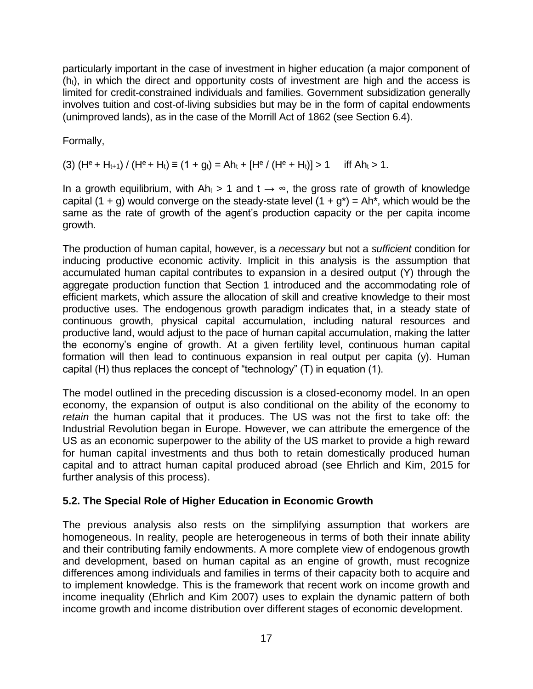particularly important in the case of investment in higher education (a major component of (ht), in which the direct and opportunity costs of investment are high and the access is limited for credit-constrained individuals and families. Government subsidization generally involves tuition and cost-of-living subsidies but may be in the form of capital endowments (unimproved lands), as in the case of the Morrill Act of 1862 (see Section 6.4).

Formally,

(3)  $(H^e + H_{t+1}) / (H^e + H_t) \equiv (1 + g_t) = Ah_t + [H^e / (H^e + H_t)] > 1$  iff Ah<sub>t</sub> > 1.

In a growth equilibrium, with Aht > 1 and t  $\rightarrow \infty$ , the gross rate of growth of knowledge capital (1 + g) would converge on the steady-state level (1 +  $g^*$ ) = Ah<sup>\*</sup>, which would be the same as the rate of growth of the agent's production capacity or the per capita income growth.

The production of human capital, however, is a *necessary* but not a *sufficient* condition for inducing productive economic activity. Implicit in this analysis is the assumption that accumulated human capital contributes to expansion in a desired output (Y) through the aggregate production function that Section 1 introduced and the accommodating role of efficient markets, which assure the allocation of skill and creative knowledge to their most productive uses. The endogenous growth paradigm indicates that, in a steady state of continuous growth, physical capital accumulation, including natural resources and productive land, would adjust to the pace of human capital accumulation, making the latter the economy's engine of growth. At a given fertility level, continuous human capital formation will then lead to continuous expansion in real output per capita (y). Human capital (H) thus replaces the concept of "technology" (T) in equation (1).

The model outlined in the preceding discussion is a closed-economy model. In an open economy, the expansion of output is also conditional on the ability of the economy to *retain* the human capital that it produces. The US was not the first to take off: the Industrial Revolution began in Europe. However, we can attribute the emergence of the US as an economic superpower to the ability of the US market to provide a high reward for human capital investments and thus both to retain domestically produced human capital and to attract human capital produced abroad (see Ehrlich and Kim, 2015 for further analysis of this process).

## **5.2. The Special Role of Higher Education in Economic Growth**

The previous analysis also rests on the simplifying assumption that workers are homogeneous. In reality, people are heterogeneous in terms of both their innate ability and their contributing family endowments. A more complete view of endogenous growth and development, based on human capital as an engine of growth, must recognize differences among individuals and families in terms of their capacity both to acquire and to implement knowledge. This is the framework that recent work on income growth and income inequality (Ehrlich and Kim 2007) uses to explain the dynamic pattern of both income growth and income distribution over different stages of economic development.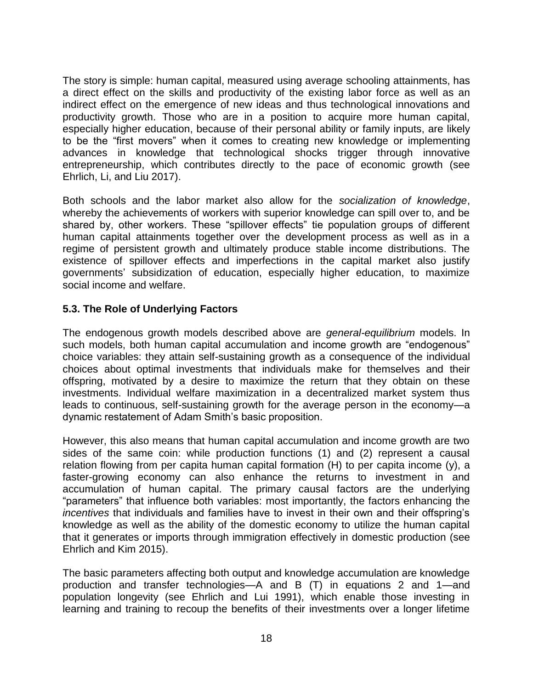The story is simple: human capital, measured using average schooling attainments, has a direct effect on the skills and productivity of the existing labor force as well as an indirect effect on the emergence of new ideas and thus technological innovations and productivity growth. Those who are in a position to acquire more human capital, especially higher education, because of their personal ability or family inputs, are likely to be the "first movers" when it comes to creating new knowledge or implementing advances in knowledge that technological shocks trigger through innovative entrepreneurship, which contributes directly to the pace of economic growth (see Ehrlich, Li, and Liu 2017).

Both schools and the labor market also allow for the *socialization of knowledge*, whereby the achievements of workers with superior knowledge can spill over to, and be shared by, other workers. These "spillover effects" tie population groups of different human capital attainments together over the development process as well as in a regime of persistent growth and ultimately produce stable income distributions. The existence of spillover effects and imperfections in the capital market also justify governments' subsidization of education, especially higher education, to maximize social income and welfare.

## **5.3. The Role of Underlying Factors**

The endogenous growth models described above are *general-equilibrium* models. In such models, both human capital accumulation and income growth are "endogenous" choice variables: they attain self-sustaining growth as a consequence of the individual choices about optimal investments that individuals make for themselves and their offspring, motivated by a desire to maximize the return that they obtain on these investments. Individual welfare maximization in a decentralized market system thus leads to continuous, self-sustaining growth for the average person in the economy—a dynamic restatement of Adam Smith's basic proposition.

However, this also means that human capital accumulation and income growth are two sides of the same coin: while production functions (1) and (2) represent a causal relation flowing from per capita human capital formation (H) to per capita income (y), a faster-growing economy can also enhance the returns to investment in and accumulation of human capital. The primary causal factors are the underlying "parameters" that influence both variables: most importantly, the factors enhancing the *incentives* that individuals and families have to invest in their own and their offspring's knowledge as well as the ability of the domestic economy to utilize the human capital that it generates or imports through immigration effectively in domestic production (see Ehrlich and Kim 2015).

The basic parameters affecting both output and knowledge accumulation are knowledge production and transfer technologies—A and B (T) in equations 2 and 1—and population longevity (see Ehrlich and Lui 1991), which enable those investing in learning and training to recoup the benefits of their investments over a longer lifetime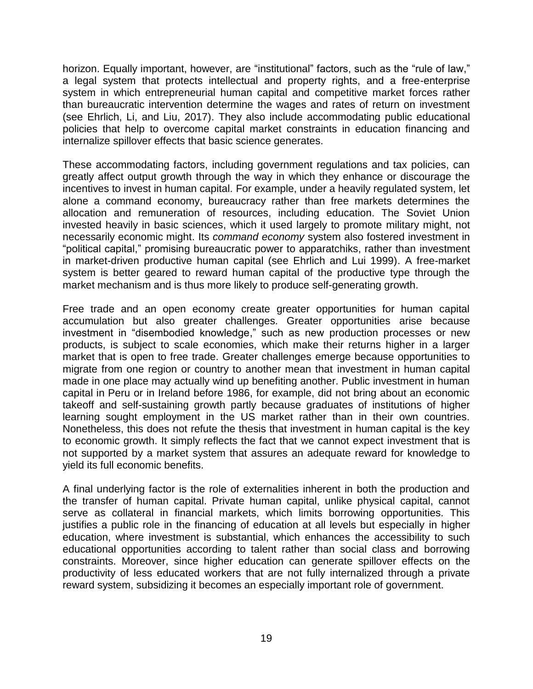horizon. Equally important, however, are "institutional" factors, such as the "rule of law," a legal system that protects intellectual and property rights, and a free-enterprise system in which entrepreneurial human capital and competitive market forces rather than bureaucratic intervention determine the wages and rates of return on investment (see Ehrlich, Li, and Liu, 2017). They also include accommodating public educational policies that help to overcome capital market constraints in education financing and internalize spillover effects that basic science generates.

These accommodating factors, including government regulations and tax policies, can greatly affect output growth through the way in which they enhance or discourage the incentives to invest in human capital. For example, under a heavily regulated system, let alone a command economy, bureaucracy rather than free markets determines the allocation and remuneration of resources, including education. The Soviet Union invested heavily in basic sciences, which it used largely to promote military might, not necessarily economic might. Its *command economy* system also fostered investment in "political capital," promising bureaucratic power to apparatchiks, rather than investment in market-driven productive human capital (see Ehrlich and Lui 1999). A free-market system is better geared to reward human capital of the productive type through the market mechanism and is thus more likely to produce self-generating growth.

Free trade and an open economy create greater opportunities for human capital accumulation but also greater challenges. Greater opportunities arise because investment in "disembodied knowledge," such as new production processes or new products, is subject to scale economies, which make their returns higher in a larger market that is open to free trade. Greater challenges emerge because opportunities to migrate from one region or country to another mean that investment in human capital made in one place may actually wind up benefiting another. Public investment in human capital in Peru or in Ireland before 1986, for example, did not bring about an economic takeoff and self-sustaining growth partly because graduates of institutions of higher learning sought employment in the US market rather than in their own countries. Nonetheless, this does not refute the thesis that investment in human capital is the key to economic growth. It simply reflects the fact that we cannot expect investment that is not supported by a market system that assures an adequate reward for knowledge to yield its full economic benefits.

A final underlying factor is the role of externalities inherent in both the production and the transfer of human capital. Private human capital, unlike physical capital, cannot serve as collateral in financial markets, which limits borrowing opportunities. This justifies a public role in the financing of education at all levels but especially in higher education, where investment is substantial, which enhances the accessibility to such educational opportunities according to talent rather than social class and borrowing constraints. Moreover, since higher education can generate spillover effects on the productivity of less educated workers that are not fully internalized through a private reward system, subsidizing it becomes an especially important role of government.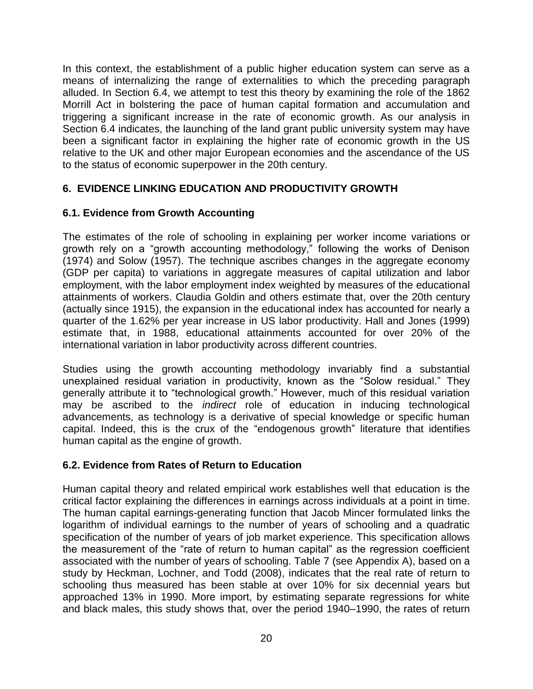In this context, the establishment of a public higher education system can serve as a means of internalizing the range of externalities to which the preceding paragraph alluded. In Section 6.4, we attempt to test this theory by examining the role of the 1862 Morrill Act in bolstering the pace of human capital formation and accumulation and triggering a significant increase in the rate of economic growth. As our analysis in Section 6.4 indicates, the launching of the land grant public university system may have been a significant factor in explaining the higher rate of economic growth in the US relative to the UK and other major European economies and the ascendance of the US to the status of economic superpower in the 20th century.

## **6. EVIDENCE LINKING EDUCATION AND PRODUCTIVITY GROWTH**

#### **6.1. Evidence from Growth Accounting**

The estimates of the role of schooling in explaining per worker income variations or growth rely on a "growth accounting methodology," following the works of Denison (1974) and Solow (1957). The technique ascribes changes in the aggregate economy (GDP per capita) to variations in aggregate measures of capital utilization and labor employment, with the labor employment index weighted by measures of the educational attainments of workers. Claudia Goldin and others estimate that, over the 20th century (actually since 1915), the expansion in the educational index has accounted for nearly a quarter of the 1.62% per year increase in US labor productivity. Hall and Jones (1999) estimate that, in 1988, educational attainments accounted for over 20% of the international variation in labor productivity across different countries.

Studies using the growth accounting methodology invariably find a substantial unexplained residual variation in productivity, known as the "Solow residual." They generally attribute it to "technological growth." However, much of this residual variation may be ascribed to the *indirect* role of education in inducing technological advancements, as technology is a derivative of special knowledge or specific human capital. Indeed, this is the crux of the "endogenous growth" literature that identifies human capital as the engine of growth.

#### **6.2. Evidence from Rates of Return to Education**

Human capital theory and related empirical work establishes well that education is the critical factor explaining the differences in earnings across individuals at a point in time. The human capital earnings-generating function that Jacob Mincer formulated links the logarithm of individual earnings to the number of years of schooling and a quadratic specification of the number of years of job market experience. This specification allows the measurement of the "rate of return to human capital" as the regression coefficient associated with the number of years of schooling. Table 7 (see Appendix A), based on a study by Heckman, Lochner, and Todd (2008), indicates that the real rate of return to schooling thus measured has been stable at over 10% for six decennial years but approached 13% in 1990. More import, by estimating separate regressions for white and black males, this study shows that, over the period 1940–1990, the rates of return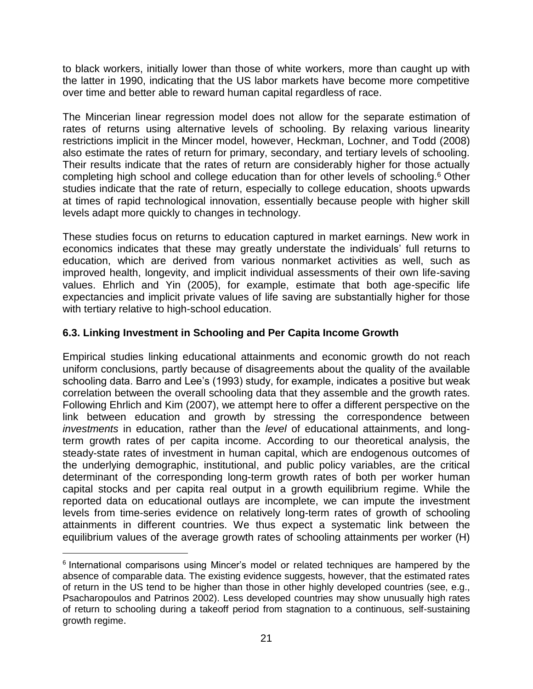to black workers, initially lower than those of white workers, more than caught up with the latter in 1990, indicating that the US labor markets have become more competitive over time and better able to reward human capital regardless of race.

The Mincerian linear regression model does not allow for the separate estimation of rates of returns using alternative levels of schooling. By relaxing various linearity restrictions implicit in the Mincer model, however, Heckman, Lochner, and Todd (2008) also estimate the rates of return for primary, secondary, and tertiary levels of schooling. Their results indicate that the rates of return are considerably higher for those actually completing high school and college education than for other levels of schooling.<sup>6</sup> Other studies indicate that the rate of return, especially to college education, shoots upwards at times of rapid technological innovation, essentially because people with higher skill levels adapt more quickly to changes in technology.

These studies focus on returns to education captured in market earnings. New work in economics indicates that these may greatly understate the individuals' full returns to education, which are derived from various nonmarket activities as well, such as improved health, longevity, and implicit individual assessments of their own life-saving values. Ehrlich and Yin (2005), for example, estimate that both age-specific life expectancies and implicit private values of life saving are substantially higher for those with tertiary relative to high-school education.

## **6.3. Linking Investment in Schooling and Per Capita Income Growth**

Empirical studies linking educational attainments and economic growth do not reach uniform conclusions, partly because of disagreements about the quality of the available schooling data. Barro and Lee's (1993) study, for example, indicates a positive but weak correlation between the overall schooling data that they assemble and the growth rates. Following Ehrlich and Kim (2007), we attempt here to offer a different perspective on the link between education and growth by stressing the correspondence between *investments* in education, rather than the *level* of educational attainments, and longterm growth rates of per capita income. According to our theoretical analysis, the steady-state rates of investment in human capital, which are endogenous outcomes of the underlying demographic, institutional, and public policy variables, are the critical determinant of the corresponding long-term growth rates of both per worker human capital stocks and per capita real output in a growth equilibrium regime. While the reported data on educational outlays are incomplete, we can impute the investment levels from time-series evidence on relatively long-term rates of growth of schooling attainments in different countries. We thus expect a systematic link between the equilibrium values of the average growth rates of schooling attainments per worker (H)

 $\overline{a}$ 

<sup>&</sup>lt;sup>6</sup> International comparisons using Mincer's model or related techniques are hampered by the absence of comparable data. The existing evidence suggests, however, that the estimated rates of return in the US tend to be higher than those in other highly developed countries (see, e.g., Psacharopoulos and Patrinos 2002). Less developed countries may show unusually high rates of return to schooling during a takeoff period from stagnation to a continuous, self-sustaining growth regime.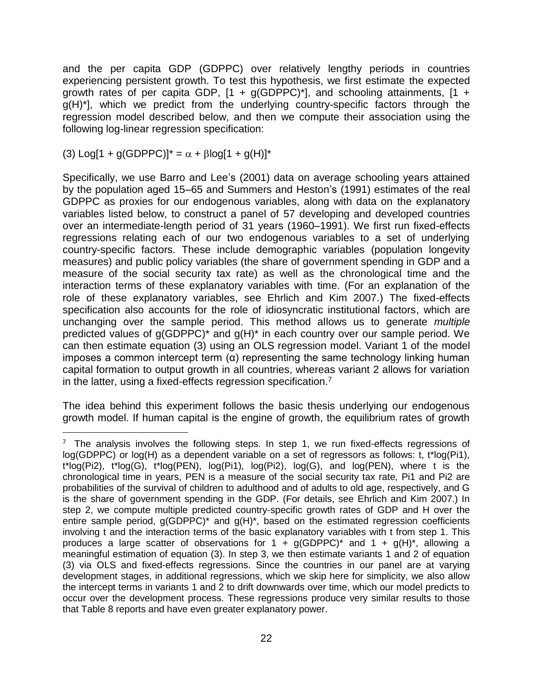and the per capita GDP (GDPPC) over relatively lengthy periods in countries experiencing persistent growth. To test this hypothesis, we first estimate the expected growth rates of per capita GDP,  $[1 + g(GDPPC)^*]$ , and schooling attainments,  $[1 +$ g(H)<sup>\*</sup>], which we predict from the underlying country-specific factors through the regression model described below, and then we compute their association using the following log-linear regression specification:

(3) Log[1 + g(GDPPC)]<sup>\*</sup> =  $\alpha$  +  $\beta$ log[1 + g(H)]<sup>\*</sup>

 $\overline{a}$ 

Specifically, we use Barro and Lee's (2001) data on average schooling years attained by the population aged 15–65 and Summers and Heston's (1991) estimates of the real GDPPC as proxies for our endogenous variables, along with data on the explanatory variables listed below, to construct a panel of 57 developing and developed countries over an intermediate-length period of 31 years (1960–1991). We first run fixed-effects regressions relating each of our two endogenous variables to a set of underlying country-specific factors. These include demographic variables (population longevity measures) and public policy variables (the share of government spending in GDP and a measure of the social security tax rate) as well as the chronological time and the interaction terms of these explanatory variables with time. (For an explanation of the role of these explanatory variables, see Ehrlich and Kim 2007.) The fixed-effects specification also accounts for the role of idiosyncratic institutional factors, which are unchanging over the sample period. This method allows us to generate *multiple* predicted values of g(GDPPC)\* and g(H)\* in each country over our sample period. We can then estimate equation (3) using an OLS regression model. Variant 1 of the model imposes a common intercept term (α) representing the same technology linking human capital formation to output growth in all countries, whereas variant 2 allows for variation in the latter, using a fixed-effects regression specification.<sup>7</sup>

The idea behind this experiment follows the basic thesis underlying our endogenous growth model. If human capital is the engine of growth, the equilibrium rates of growth

 $7$  The analysis involves the following steps. In step 1, we run fixed-effects regressions of log(GDPPC) or log(H) as a dependent variable on a set of regressors as follows: t, t\*log(Pi1), t\*log(Pi2), t\*log(G), t\*log(PEN), log(Pi1), log(Pi2), log(G), and log(PEN), where t is the chronological time in years, PEN is a measure of the social security tax rate, Pi1 and Pi2 are probabilities of the survival of children to adulthood and of adults to old age, respectively, and G is the share of government spending in the GDP. (For details, see Ehrlich and Kim 2007.) In step 2, we compute multiple predicted country-specific growth rates of GDP and H over the entire sample period, g(GDPPC)<sup>\*</sup> and g(H)<sup>\*</sup>, based on the estimated regression coefficients involving t and the interaction terms of the basic explanatory variables with t from step 1. This produces a large scatter of observations for 1 +  $g(GDPPC)^*$  and 1 +  $g(H)^*$ , allowing a meaningful estimation of equation (3). In step 3, we then estimate variants 1 and 2 of equation (3) via OLS and fixed-effects regressions. Since the countries in our panel are at varying development stages, in additional regressions, which we skip here for simplicity, we also allow the intercept terms in variants 1 and 2 to drift downwards over time, which our model predicts to occur over the development process. These regressions produce very similar results to those that Table 8 reports and have even greater explanatory power.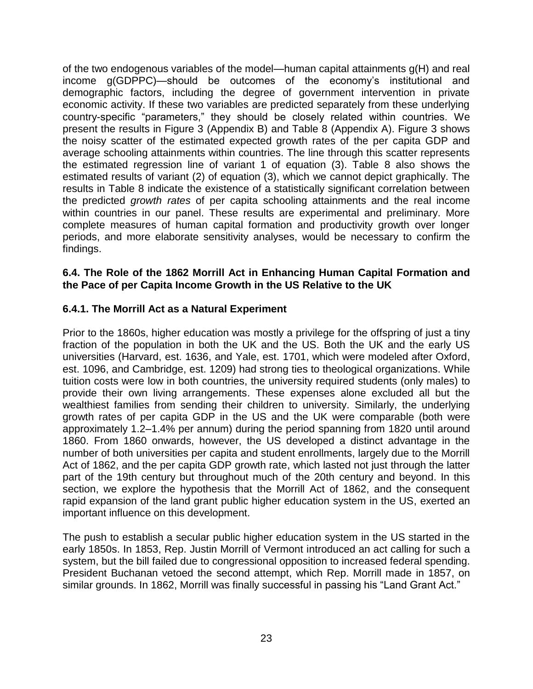of the two endogenous variables of the model—human capital attainments g(H) and real income g(GDPPC)—should be outcomes of the economy's institutional and demographic factors, including the degree of government intervention in private economic activity. If these two variables are predicted separately from these underlying country-specific "parameters," they should be closely related within countries. We present the results in Figure 3 (Appendix B) and Table 8 (Appendix A). Figure 3 shows the noisy scatter of the estimated expected growth rates of the per capita GDP and average schooling attainments within countries. The line through this scatter represents the estimated regression line of variant 1 of equation (3). Table 8 also shows the estimated results of variant (2) of equation (3), which we cannot depict graphically. The results in Table 8 indicate the existence of a statistically significant correlation between the predicted *growth rates* of per capita schooling attainments and the real income within countries in our panel. These results are experimental and preliminary. More complete measures of human capital formation and productivity growth over longer periods, and more elaborate sensitivity analyses, would be necessary to confirm the findings.

#### **6.4. The Role of the 1862 Morrill Act in Enhancing Human Capital Formation and the Pace of per Capita Income Growth in the US Relative to the UK**

## **6.4.1. The Morrill Act as a Natural Experiment**

Prior to the 1860s, higher education was mostly a privilege for the offspring of just a tiny fraction of the population in both the UK and the US. Both the UK and the early US universities (Harvard, est. 1636, and Yale, est. 1701, which were modeled after Oxford, est. 1096, and Cambridge, est. 1209) had strong ties to theological organizations. While tuition costs were low in both countries, the university required students (only males) to provide their own living arrangements. These expenses alone excluded all but the wealthiest families from sending their children to university. Similarly, the underlying growth rates of per capita GDP in the US and the UK were comparable (both were approximately 1.2‒1.4% per annum) during the period spanning from 1820 until around 1860. From 1860 onwards, however, the US developed a distinct advantage in the number of both universities per capita and student enrollments, largely due to the Morrill Act of 1862, and the per capita GDP growth rate, which lasted not just through the latter part of the 19th century but throughout much of the 20th century and beyond. In this section, we explore the hypothesis that the Morrill Act of 1862, and the consequent rapid expansion of the land grant public higher education system in the US, exerted an important influence on this development.

The push to establish a secular public higher education system in the US started in the early 1850s. In 1853, Rep. Justin Morrill of Vermont introduced an act calling for such a system, but the bill failed due to congressional opposition to increased federal spending. President Buchanan vetoed the second attempt, which Rep. Morrill made in 1857, on similar grounds. In 1862, Morrill was finally successful in passing his "Land Grant Act."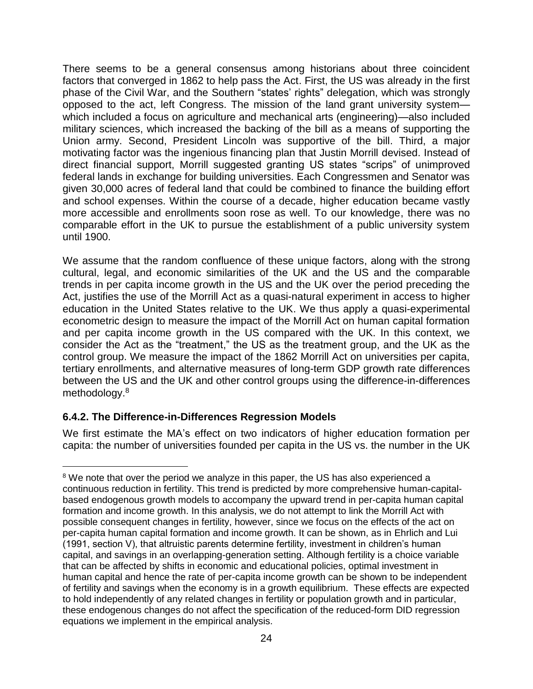There seems to be a general consensus among historians about three coincident factors that converged in 1862 to help pass the Act. First, the US was already in the first phase of the Civil War, and the Southern "states' rights" delegation, which was strongly opposed to the act, left Congress. The mission of the land grant university system which included a focus on agriculture and mechanical arts (engineering)—also included military sciences, which increased the backing of the bill as a means of supporting the Union army. Second, President Lincoln was supportive of the bill. Third, a major motivating factor was the ingenious financing plan that Justin Morrill devised. Instead of direct financial support, Morrill suggested granting US states "scrips" of unimproved federal lands in exchange for building universities. Each Congressmen and Senator was given 30,000 acres of federal land that could be combined to finance the building effort and school expenses. Within the course of a decade, higher education became vastly more accessible and enrollments soon rose as well. To our knowledge, there was no comparable effort in the UK to pursue the establishment of a public university system until 1900.

We assume that the random confluence of these unique factors, along with the strong cultural, legal, and economic similarities of the UK and the US and the comparable trends in per capita income growth in the US and the UK over the period preceding the Act, justifies the use of the Morrill Act as a quasi-natural experiment in access to higher education in the United States relative to the UK. We thus apply a quasi-experimental econometric design to measure the impact of the Morrill Act on human capital formation and per capita income growth in the US compared with the UK. In this context, we consider the Act as the "treatment," the US as the treatment group, and the UK as the control group. We measure the impact of the 1862 Morrill Act on universities per capita, tertiary enrollments, and alternative measures of long-term GDP growth rate differences between the US and the UK and other control groups using the difference-in-differences methodology.<sup>8</sup>

## **6.4.2. The Difference-in-Differences Regression Models**

 $\overline{a}$ 

We first estimate the MA's effect on two indicators of higher education formation per capita: the number of universities founded per capita in the US vs. the number in the UK

<sup>&</sup>lt;sup>8</sup> We note that over the period we analyze in this paper, the US has also experienced a continuous reduction in fertility. This trend is predicted by more comprehensive human-capitalbased endogenous growth models to accompany the upward trend in per-capita human capital formation and income growth. In this analysis, we do not attempt to link the Morrill Act with possible consequent changes in fertility, however, since we focus on the effects of the act on per-capita human capital formation and income growth. It can be shown, as in Ehrlich and Lui (1991, section V), that altruistic parents determine fertility, investment in children's human capital, and savings in an overlapping-generation setting. Although fertility is a choice variable that can be affected by shifts in economic and educational policies, optimal investment in human capital and hence the rate of per-capita income growth can be shown to be independent of fertility and savings when the economy is in a growth equilibrium. These effects are expected to hold independently of any related changes in fertility or population growth and in particular, these endogenous changes do not affect the specification of the reduced-form DID regression equations we implement in the empirical analysis.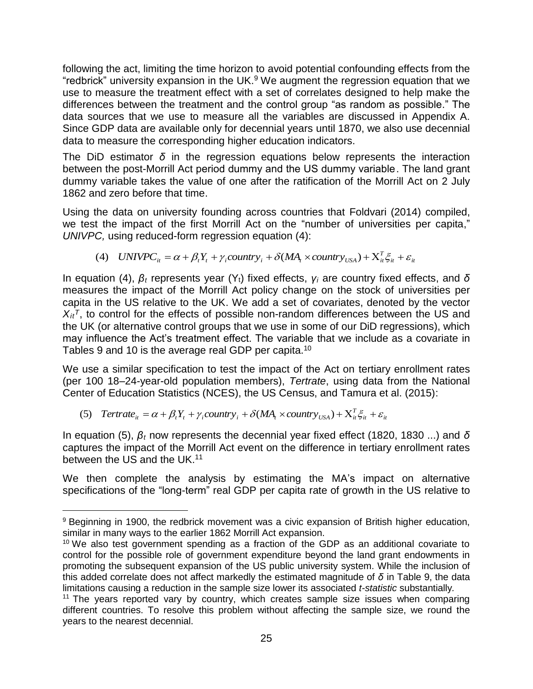following the act, limiting the time horizon to avoid potential confounding effects from the "redbrick" university expansion in the UK. $9$  We augment the regression equation that we use to measure the treatment effect with a set of correlates designed to help make the differences between the treatment and the control group "as random as possible." The data sources that we use to measure all the variables are discussed in Appendix A. Since GDP data are available only for decennial years until 1870, we also use decennial data to measure the corresponding higher education indicators.

The DiD estimator *δ* in the regression equations below represents the interaction between the post-Morrill Act period dummy and the US dummy variable . The land grant dummy variable takes the value of one after the ratification of the Morrill Act on 2 July 1862 and zero before that time.

Using the data on university founding across countries that Foldvari (2014) compiled, we test the impact of the first Morrill Act on the "number of universities per capita," *UNIVPC,* using reduced-form regression equation (4):

(4) 
$$
UNIVPC_{it} = \alpha + \beta_t Y_t + \gamma_i country_i + \delta (MA_t \times country_{USA}) + X_{it}^T \xi_{it} + \varepsilon_{it}
$$

In equation (4), *β<sup>t</sup>* represents year (Yt) fixed effects, *γ<sup>i</sup>* are country fixed effects, and *δ* measures the impact of the Morrill Act policy change on the stock of universities per capita in the US relative to the UK. We add a set of covariates, denoted by the vector  $X_{it}$ <sup>T</sup>, to control for the effects of possible non-random differences between the US and the UK (or alternative control groups that we use in some of our DiD regressions), which may influence the Act's treatment effect. The variable that we include as a covariate in Tables 9 and 10 is the average real GDP per capita.<sup>10</sup>

We use a similar specification to test the impact of the Act on tertiary enrollment rates (per 100 18‒24-year-old population members), *Tertrate*, using data from the National Center of Education Statistics (NCES), the US Census, and Tamura et al. (2015):

(5) *Tertrate*<sub>it</sub> = 
$$
\alpha + \beta_t Y_t + \gamma_i
$$
 country<sub>i</sub> +  $\delta$ (*MA*<sub>t</sub> × country<sub>USA</sub>) +  $X_{it}^T \xi_{it} + \varepsilon_{it}$ 

 $\overline{a}$ 

In equation (5), *β<sup>t</sup>* now represents the decennial year fixed effect (1820, 1830 ...) and *δ* captures the impact of the Morrill Act event on the difference in tertiary enrollment rates between the US and the UK.<sup>11</sup>

We then complete the analysis by estimating the MA's impact on alternative specifications of the "long-term" real GDP per capita rate of growth in the US relative to

<sup>9</sup> Beginning in 1900, the redbrick movement was a civic expansion of British higher education, similar in many ways to the earlier 1862 Morrill Act expansion.

 $10$  We also test government spending as a fraction of the GDP as an additional covariate to control for the possible role of government expenditure beyond the land grant endowments in promoting the subsequent expansion of the US public university system. While the inclusion of this added correlate does not affect markedly the estimated magnitude of *δ* in Table 9, the data limitations causing a reduction in the sample size lower its associated *t-statistic* substantially*.*

 $11$  The years reported vary by country, which creates sample size issues when comparing different countries. To resolve this problem without affecting the sample size, we round the years to the nearest decennial.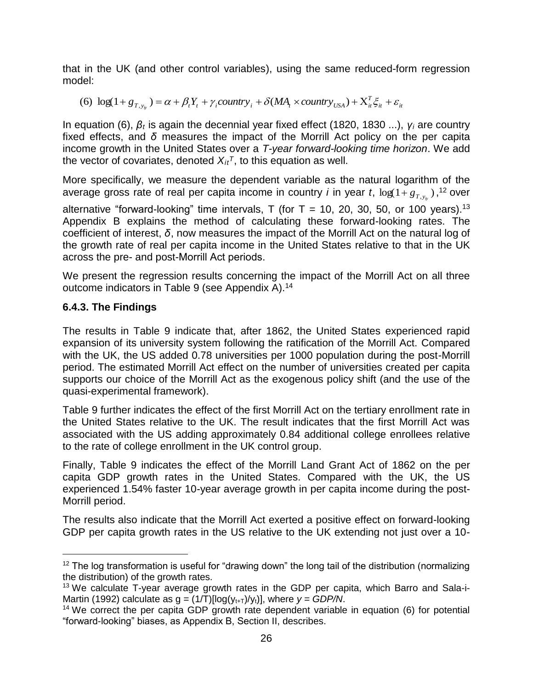that in the UK (and other control variables), using the same reduced-form regression model:

(6) 
$$
\log(1+g_{T,y_{\scriptscriptstyle N}}) = \alpha + \beta_t Y_t + \gamma_t \text{country}_i + \delta(MA_t \times \text{country}_{\text{USA}}) + X_{\scriptscriptstyle \text{it}}^T \xi_{\scriptscriptstyle \text{it}} + \varepsilon_{\scriptscriptstyle \text{it}}
$$

In equation (6), *β<sup>t</sup>* is again the decennial year fixed effect (1820, 1830 ...), *γ<sup>i</sup>* are country fixed effects, and *δ* measures the impact of the Morrill Act policy on the per capita income growth in the United States over a *T-year forward-looking time horizon*. We add the vector of covariates, denoted  $X_{it}^T$ , to this equation as well.

More specifically, we measure the dependent variable as the natural logarithm of the average gross rate of real per capita income in country *i* in year *t*, log(1+g<sub>T,y<sub>v</sub></sub>),<sup>12</sup> over

alternative "forward-looking" time intervals, T (for T = 10, 20, 30, 50, or 100 years).<sup>13</sup> Appendix B explains the method of calculating these forward-looking rates. The coefficient of interest, *δ*, now measures the impact of the Morrill Act on the natural log of the growth rate of real per capita income in the United States relative to that in the UK across the pre- and post-Morrill Act periods. 

We present the regression results concerning the impact of the Morrill Act on all three outcome indicators in Table 9 (see Appendix A).<sup>14</sup>

## **6.4.3. The Findings**

 $\overline{a}$ 

The results in Table 9 indicate that, after 1862, the United States experienced rapid expansion of its university system following the ratification of the Morrill Act. Compared with the UK, the US added 0.78 universities per 1000 population during the post-Morrill period. The estimated Morrill Act effect on the number of universities created per capita supports our choice of the Morrill Act as the exogenous policy shift (and the use of the quasi-experimental framework).

Table 9 further indicates the effect of the first Morrill Act on the tertiary enrollment rate in the United States relative to the UK. The result indicates that the first Morrill Act was associated with the US adding approximately 0.84 additional college enrollees relative to the rate of college enrollment in the UK control group.

Finally, Table 9 indicates the effect of the Morrill Land Grant Act of 1862 on the per capita GDP growth rates in the United States. Compared with the UK, the US experienced 1.54% faster 10-year average growth in per capita income during the post-Morrill period.

The results also indicate that the Morrill Act exerted a positive effect on forward-looking GDP per capita growth rates in the US relative to the UK extending not just over a 10-

 $12$  The log transformation is useful for "drawing down" the long tail of the distribution (normalizing the distribution) of the growth rates.

<sup>&</sup>lt;sup>13</sup> We calculate T-year average growth rates in the GDP per capita, which Barro and Sala-i-Martin (1992) calculate as  $q = (1/T)[log(y<sub>t+T</sub>)/y<sub>t</sub>)]$ , where  $y = GDP/N$ .

<sup>&</sup>lt;sup>14</sup> We correct the per capita GDP growth rate dependent variable in equation (6) for potential "forward-looking" biases, as Appendix B, Section II, describes.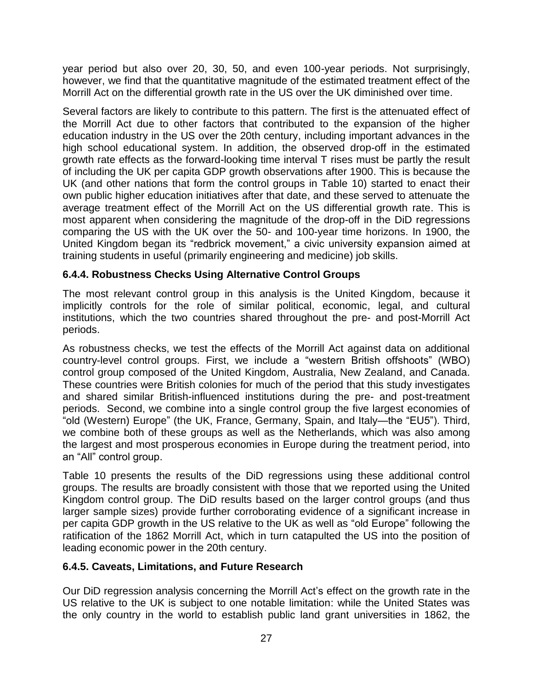year period but also over 20, 30, 50, and even 100-year periods. Not surprisingly, however, we find that the quantitative magnitude of the estimated treatment effect of the Morrill Act on the differential growth rate in the US over the UK diminished over time.

Several factors are likely to contribute to this pattern. The first is the attenuated effect of the Morrill Act due to other factors that contributed to the expansion of the higher education industry in the US over the 20th century, including important advances in the high school educational system. In addition, the observed drop-off in the estimated growth rate effects as the forward-looking time interval T rises must be partly the result of including the UK per capita GDP growth observations after 1900. This is because the UK (and other nations that form the control groups in Table 10) started to enact their own public higher education initiatives after that date, and these served to attenuate the average treatment effect of the Morrill Act on the US differential growth rate. This is most apparent when considering the magnitude of the drop-off in the DiD regressions comparing the US with the UK over the 50- and 100-year time horizons. In 1900, the United Kingdom began its "redbrick movement," a civic university expansion aimed at training students in useful (primarily engineering and medicine) job skills.

## **6.4.4. Robustness Checks Using Alternative Control Groups**

The most relevant control group in this analysis is the United Kingdom, because it implicitly controls for the role of similar political, economic, legal, and cultural institutions, which the two countries shared throughout the pre- and post-Morrill Act periods.

As robustness checks, we test the effects of the Morrill Act against data on additional country-level control groups. First, we include a "western British offshoots" (WBO) control group composed of the United Kingdom, Australia, New Zealand, and Canada. These countries were British colonies for much of the period that this study investigates and shared similar British-influenced institutions during the pre- and post-treatment periods. Second, we combine into a single control group the five largest economies of "old (Western) Europe" (the UK, France, Germany, Spain, and Italy—the "EU5"). Third, we combine both of these groups as well as the Netherlands, which was also among the largest and most prosperous economies in Europe during the treatment period, into an "All" control group.

Table 10 presents the results of the DiD regressions using these additional control groups. The results are broadly consistent with those that we reported using the United Kingdom control group. The DiD results based on the larger control groups (and thus larger sample sizes) provide further corroborating evidence of a significant increase in per capita GDP growth in the US relative to the UK as well as "old Europe" following the ratification of the 1862 Morrill Act, which in turn catapulted the US into the position of leading economic power in the 20th century.

#### **6.4.5. Caveats, Limitations, and Future Research**

Our DiD regression analysis concerning the Morrill Act's effect on the growth rate in the US relative to the UK is subject to one notable limitation: while the United States was the only country in the world to establish public land grant universities in 1862, the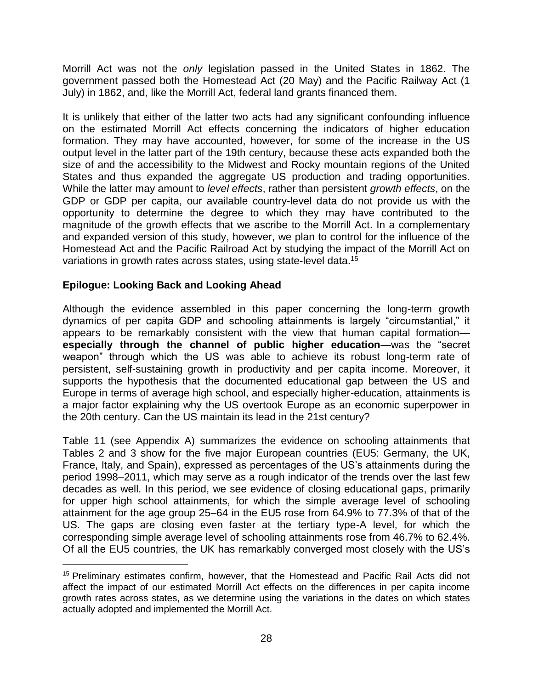Morrill Act was not the *only* legislation passed in the United States in 1862. The government passed both the Homestead Act (20 May) and the Pacific Railway Act (1 July) in 1862, and, like the Morrill Act, federal land grants financed them.

It is unlikely that either of the latter two acts had any significant confounding influence on the estimated Morrill Act effects concerning the indicators of higher education formation. They may have accounted, however, for some of the increase in the US output level in the latter part of the 19th century, because these acts expanded both the size of and the accessibility to the Midwest and Rocky mountain regions of the United States and thus expanded the aggregate US production and trading opportunities. While the latter may amount to *level effects*, rather than persistent *growth effects*, on the GDP or GDP per capita, our available country-level data do not provide us with the opportunity to determine the degree to which they may have contributed to the magnitude of the growth effects that we ascribe to the Morrill Act. In a complementary and expanded version of this study, however, we plan to control for the influence of the Homestead Act and the Pacific Railroad Act by studying the impact of the Morrill Act on variations in growth rates across states, using state-level data.<sup>15</sup>

#### **Epilogue: Looking Back and Looking Ahead**

 $\overline{a}$ 

Although the evidence assembled in this paper concerning the long-term growth dynamics of per capita GDP and schooling attainments is largely "circumstantial," it appears to be remarkably consistent with the view that human capital formation **especially through the channel of public higher education—was the "secret"** weapon" through which the US was able to achieve its robust long-term rate of persistent, self-sustaining growth in productivity and per capita income. Moreover, it supports the hypothesis that the documented educational gap between the US and Europe in terms of average high school, and especially higher-education, attainments is a major factor explaining why the US overtook Europe as an economic superpower in the 20th century. Can the US maintain its lead in the 21st century?

Table 11 (see Appendix A) summarizes the evidence on schooling attainments that Tables 2 and 3 show for the five major European countries (EU5: Germany, the UK, France, Italy, and Spain), expressed as percentages of the US's attainments during the period 1998–2011, which may serve as a rough indicator of the trends over the last few decades as well. In this period, we see evidence of closing educational gaps, primarily for upper high school attainments, for which the simple average level of schooling attainment for the age group 25–64 in the EU5 rose from 64.9% to 77.3% of that of the US. The gaps are closing even faster at the tertiary type-A level, for which the corresponding simple average level of schooling attainments rose from 46.7% to 62.4%. Of all the EU5 countries, the UK has remarkably converged most closely with the US's

<sup>&</sup>lt;sup>15</sup> Preliminary estimates confirm, however, that the Homestead and Pacific Rail Acts did not affect the impact of our estimated Morrill Act effects on the differences in per capita income growth rates across states, as we determine using the variations in the dates on which states actually adopted and implemented the Morrill Act.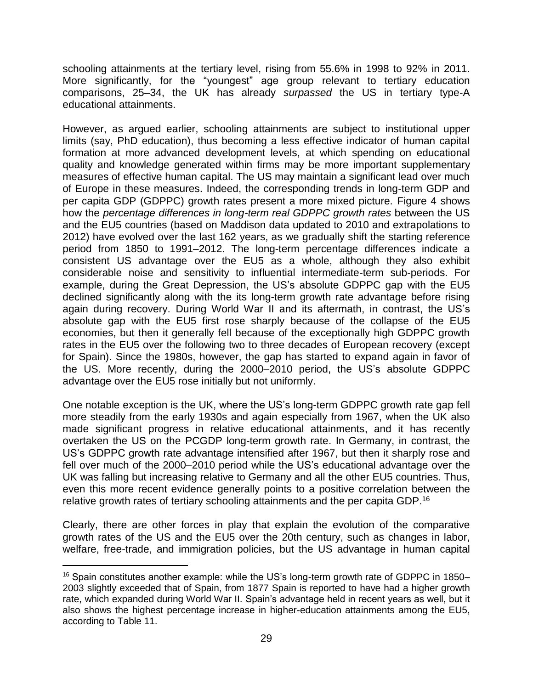schooling attainments at the tertiary level, rising from 55.6% in 1998 to 92% in 2011. More significantly, for the "youngest" age group relevant to tertiary education comparisons, 25–34, the UK has already *surpassed* the US in tertiary type-A educational attainments.

However, as argued earlier, schooling attainments are subject to institutional upper limits (say, PhD education), thus becoming a less effective indicator of human capital formation at more advanced development levels, at which spending on educational quality and knowledge generated within firms may be more important supplementary measures of effective human capital. The US may maintain a significant lead over much of Europe in these measures. Indeed, the corresponding trends in long-term GDP and per capita GDP (GDPPC) growth rates present a more mixed picture. Figure 4 shows how the *percentage differences in long-term real GDPPC growth rates* between the US and the EU5 countries (based on Maddison data updated to 2010 and extrapolations to 2012) have evolved over the last 162 years, as we gradually shift the starting reference period from 1850 to 1991–2012. The long-term percentage differences indicate a consistent US advantage over the EU5 as a whole, although they also exhibit considerable noise and sensitivity to influential intermediate-term sub-periods. For example, during the Great Depression, the US's absolute GDPPC gap with the EU5 declined significantly along with the its long-term growth rate advantage before rising again during recovery. During World War II and its aftermath, in contrast, the US's absolute gap with the EU5 first rose sharply because of the collapse of the EU5 economies, but then it generally fell because of the exceptionally high GDPPC growth rates in the EU5 over the following two to three decades of European recovery (except for Spain). Since the 1980s, however, the gap has started to expand again in favor of the US. More recently, during the 2000–2010 period, the US's absolute GDPPC advantage over the EU5 rose initially but not uniformly.

One notable exception is the UK, where the US's long-term GDPPC growth rate gap fell more steadily from the early 1930s and again especially from 1967, when the UK also made significant progress in relative educational attainments, and it has recently overtaken the US on the PCGDP long-term growth rate. In Germany, in contrast, the US's GDPPC growth rate advantage intensified after 1967, but then it sharply rose and fell over much of the 2000–2010 period while the US's educational advantage over the UK was falling but increasing relative to Germany and all the other EU5 countries. Thus, even this more recent evidence generally points to a positive correlation between the relative growth rates of tertiary schooling attainments and the per capita GDP.<sup>16</sup>

Clearly, there are other forces in play that explain the evolution of the comparative growth rates of the US and the EU5 over the 20th century, such as changes in labor, welfare, free-trade, and immigration policies, but the US advantage in human capital

 $\overline{a}$ 

 $16$  Spain constitutes another example: while the US's long-term growth rate of GDPPC in 1850– 2003 slightly exceeded that of Spain, from 1877 Spain is reported to have had a higher growth rate, which expanded during World War II. Spain's advantage held in recent years as well, but it also shows the highest percentage increase in higher-education attainments among the EU5, according to Table 11.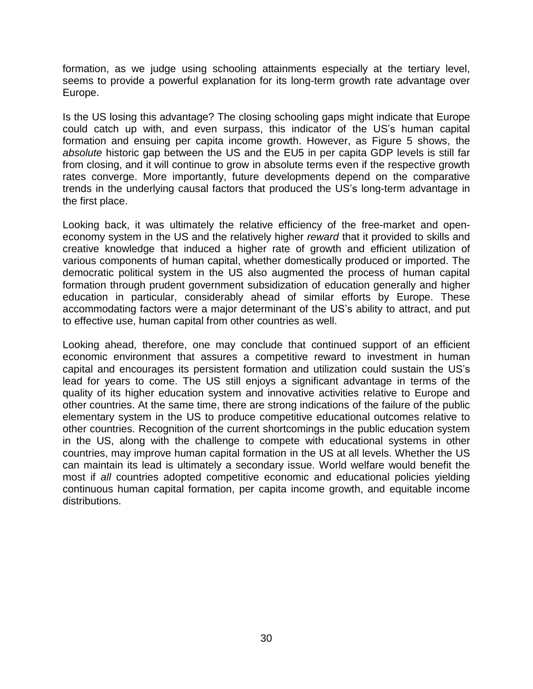formation, as we judge using schooling attainments especially at the tertiary level, seems to provide a powerful explanation for its long-term growth rate advantage over Europe.

Is the US losing this advantage? The closing schooling gaps might indicate that Europe could catch up with, and even surpass, this indicator of the US's human capital formation and ensuing per capita income growth. However, as Figure 5 shows, the *absolute* historic gap between the US and the EU5 in per capita GDP levels is still far from closing, and it will continue to grow in absolute terms even if the respective growth rates converge. More importantly, future developments depend on the comparative trends in the underlying causal factors that produced the US's long-term advantage in the first place.

Looking back, it was ultimately the relative efficiency of the free-market and openeconomy system in the US and the relatively higher *reward* that it provided to skills and creative knowledge that induced a higher rate of growth and efficient utilization of various components of human capital, whether domestically produced or imported. The democratic political system in the US also augmented the process of human capital formation through prudent government subsidization of education generally and higher education in particular, considerably ahead of similar efforts by Europe. These accommodating factors were a major determinant of the US's ability to attract, and put to effective use, human capital from other countries as well.

Looking ahead, therefore, one may conclude that continued support of an efficient economic environment that assures a competitive reward to investment in human capital and encourages its persistent formation and utilization could sustain the US's lead for years to come. The US still enjoys a significant advantage in terms of the quality of its higher education system and innovative activities relative to Europe and other countries. At the same time, there are strong indications of the failure of the public elementary system in the US to produce competitive educational outcomes relative to other countries. Recognition of the current shortcomings in the public education system in the US, along with the challenge to compete with educational systems in other countries, may improve human capital formation in the US at all levels. Whether the US can maintain its lead is ultimately a secondary issue. World welfare would benefit the most if *all* countries adopted competitive economic and educational policies yielding continuous human capital formation, per capita income growth, and equitable income distributions.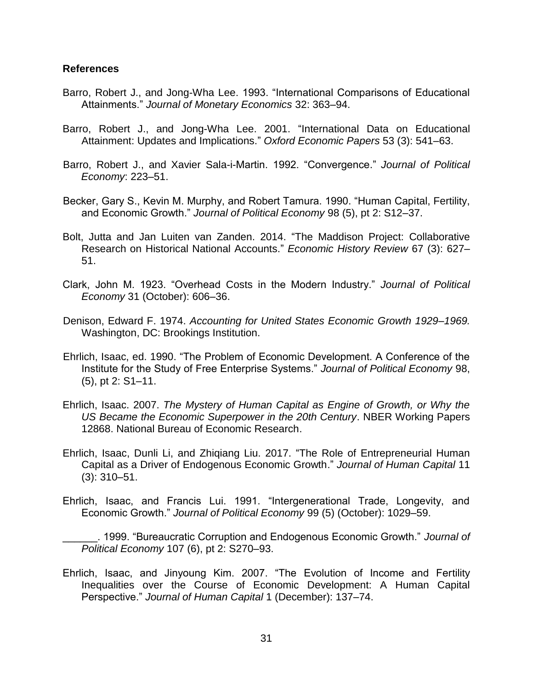#### **References**

- Barro, Robert J., and Jong-Wha Lee. 1993. "International Comparisons of Educational Attainments." *Journal of Monetary Economics* 32: 363–94.
- Barro, Robert J., and Jong-Wha Lee. 2001. "International Data on Educational Attainment: Updates and Implications." *Oxford Economic Papers* 53 (3): 541–63.
- Barro, Robert J., and Xavier Sala-i-Martin. 1992. "Convergence." *Journal of Political Economy*: 223–51.
- Becker, Gary S., Kevin M. Murphy, and Robert Tamura. 1990. "Human Capital, Fertility, and Economic Growth." *Journal of Political Economy* 98 (5), pt 2: S12–37.
- Bolt, Jutta and Jan Luiten van Zanden. 2014. "The Maddison Project: Collaborative Research on Historical National Accounts." *Economic History Review* 67 (3): 627– 51.
- Clark, John M. 1923. "Overhead Costs in the Modern Industry." *Journal of Political Economy* 31 (October): 606–36.
- Denison, Edward F. 1974. *Accounting for United States Economic Growth 1929–1969.*  Washington, DC: Brookings Institution.
- Ehrlich, Isaac, ed. 1990. "The Problem of Economic Development. A Conference of the Institute for the Study of Free Enterprise Systems." *Journal of Political Economy* 98, (5), pt 2: S1–11.
- Ehrlich, Isaac. 2007. *[The Mystery of Human Capital as Engine of Growth, or Why the](http://ideas.repec.org/p/nbr/nberwo/12868.html)  [US Became the Economic Superpower in the 20th Century](http://ideas.repec.org/p/nbr/nberwo/12868.html)*. [NBER Working Papers](http://ideas.repec.org/s/nbr/nberwo.html) 12868. National Bureau of Economic Research.
- Ehrlich, Isaac, Dunli Li, and Zhiqiang Liu. 2017. "The Role of Entrepreneurial Human Capital as a Driver of Endogenous Economic Growth." *Journal of Human Capital* 11 (3): 310–51.
- Ehrlich, Isaac, and Francis Lui. 1991. "Intergenerational Trade, Longevity, and Economic Growth." *Journal of Political Economy* 99 (5) (October): 1029–59.

\_\_\_\_\_\_. 1999. "Bureaucratic Corruption and Endogenous Economic Growth." *Journal of Political Economy* 107 (6), pt 2: S270–93.

Ehrlich, Isaac, and Jinyoung Kim. 2007. "The Evolution of Income and Fertility Inequalities over the Course of Economic Development: A Human Capital Perspective." *Journal of Human Capital* 1 (December): 137–74.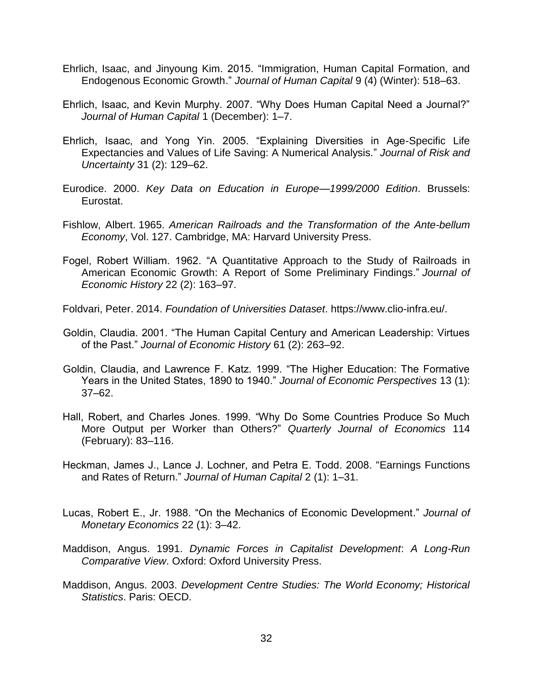- Ehrlich, Isaac, and Jinyoung Kim. 2015. "Immigration, Human Capital Formation, and Endogenous Economic Growth." *Journal of Human Capital* 9 (4) (Winter): 518–63.
- Ehrlich, Isaac, and Kevin Murphy. 2007. "Why Does Human Capital Need a Journal?" *Journal of Human Capital* 1 (December): 1–7.
- Ehrlich, Isaac, and Yong Yin. 2005. "Explaining Diversities in Age-Specific Life Expectancies and Values of Life Saving: A Numerical Analysis." *Journal of Risk and Uncertainty* 31 (2): 129–62.
- Eurodice. 2000. *Key Data on Education in Europe—1999/2000 Edition*. Brussels: Eurostat.
- Fishlow, Albert. 1965. *American Railroads and the Transformation of the Ante-bellum Economy*, Vol. 127. Cambridge, MA: Harvard University Press.
- Fogel, Robert William. 1962. "A Quantitative Approach to the Study of Railroads in American Economic Growth: A Report of Some Preliminary Findings." *Journal of Economic History* 22 (2): 163–97.
- Foldvari, Peter. 2014. *Foundation of Universities Dataset*. https://www.clio-infra.eu/.
- Goldin, Claudia. 2001. "The Human Capital Century and American Leadership: Virtues of the Past." *Journal of Economic History* 61 (2): 263–92.
- Goldin, Claudia, and Lawrence F. Katz. 1999. "The Higher Education: The Formative Years in the United States, 1890 to 1940." *Journal of Economic Perspectives* 13 (1): 37–62.
- Hall, Robert, and Charles Jones. 1999. "Why Do Some Countries Produce So Much More Output per Worker than Others?" *Quarterly Journal of Economics* 114 (February): 83–116.
- Heckman, James J., Lance J. Lochner, and Petra E. Todd. 2008. ["Earnings Functions](http://ideas.repec.org/a/ucp/jhucap/v2i1y2008p1-31.html)  [and Rates of Return."](http://ideas.repec.org/a/ucp/jhucap/v2i1y2008p1-31.html) *Journal of Human Capital* 2 (1): 1–31.
- Lucas, Robert E., Jr. 1988. "On the Mechanics of Economic Development." *Journal of Monetary Economics* 22 (1): 3–42.
- Maddison, Angus. 1991. *Dynamic Forces in Capitalist Development*: *A Long-Run Comparative View*. Oxford: Oxford University Press.
- Maddison, Angus. 2003. *Development Centre Studies: The World Economy; Historical Statistics*. Paris: OECD.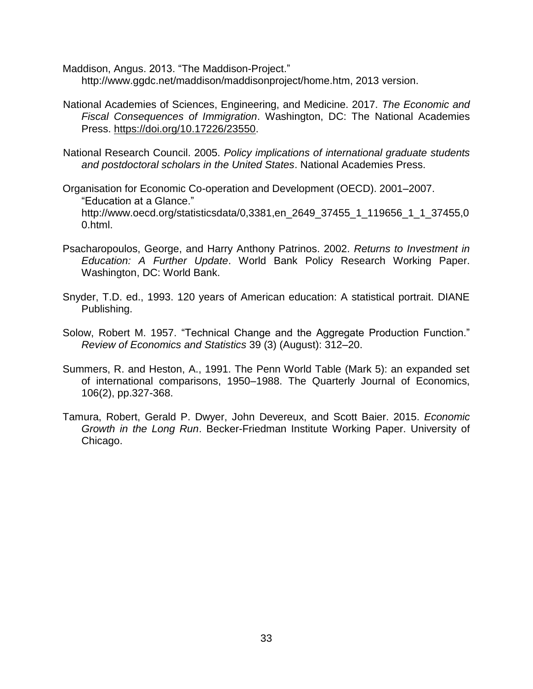Maddison, Angus. 2013. "The Maddison-Project." http://www.ggdc.net/maddison/maddisonproject/home.htm, 2013 version.

- National Academies of Sciences, Engineering, and Medicine. 2017. *The Economic and Fiscal Consequences of Immigration*. Washington, DC: The National Academies Press. [https://doi.org/10.17226/23550.](https://doi.org/10.17226/23550)
- National Research Council. 2005. *Policy implications of international graduate students and postdoctoral scholars in the United States*. National Academies Press.

Organisation for Economic Co-operation and Development (OECD). 2001–2007. "Education at a Glance." http://www.oecd.org/statisticsdata/0,3381,en\_2649\_37455\_1\_119656\_1\_1\_37455,0 0.html.

- Psacharopoulos, George, and Harry Anthony Patrinos. 2002. *Returns to Investment in Education: A Further Update*. World Bank Policy Research Working Paper. Washington, DC: World Bank.
- Snyder, T.D. ed., 1993. 120 years of American education: A statistical portrait. DIANE Publishing.
- Solow, Robert M. 1957. "Technical Change and the Aggregate Production Function." *Review of Economics and Statistics* 39 (3) (August): 312–20.
- Summers, R. and Heston, A., 1991. The Penn World Table (Mark 5): an expanded set of international comparisons, 1950–1988. The Quarterly Journal of Economics, 106(2), pp.327-368.
- Tamura, Robert, Gerald P. Dwyer, John Devereux, and Scott Baier. 2015. *Economic Growth in the Long Run*. Becker-Friedman Institute Working Paper. University of Chicago.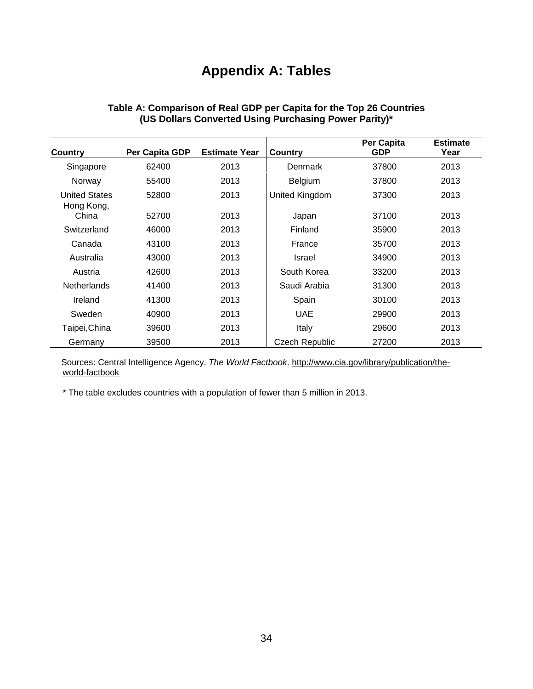## **Appendix A: Tables**

|                                    |                       |                      |                       | Per Capita | <b>Estimate</b> |
|------------------------------------|-----------------------|----------------------|-----------------------|------------|-----------------|
| Country                            | <b>Per Capita GDP</b> | <b>Estimate Year</b> | Country               | GDP        | Year            |
| Singapore                          | 62400                 | 2013                 | Denmark               | 37800      | 2013            |
| Norway                             | 55400                 | 2013                 | Belgium               | 37800      | 2013            |
| <b>United States</b><br>Hong Kong, | 52800                 | 2013                 | United Kingdom        | 37300      | 2013            |
| China                              | 52700                 | 2013                 | Japan                 | 37100      | 2013            |
| Switzerland                        | 46000                 | 2013                 | Finland               | 35900      | 2013            |
| Canada                             | 43100                 | 2013                 | France                | 35700      | 2013            |
| Australia                          | 43000                 | 2013                 | <b>Israel</b>         | 34900      | 2013            |
| Austria                            | 42600                 | 2013                 | South Korea           | 33200      | 2013            |
| <b>Netherlands</b>                 | 41400                 | 2013                 | Saudi Arabia          | 31300      | 2013            |
| Ireland                            | 41300                 | 2013                 | Spain                 | 30100      | 2013            |
| Sweden                             | 40900                 | 2013                 | <b>UAE</b>            | 29900      | 2013            |
| Taipei, China                      | 39600                 | 2013                 | Italy                 | 29600      | 2013            |
| Germany                            | 39500                 | 2013                 | <b>Czech Republic</b> | 27200      | 2013            |

#### **Table A: Comparison of Real GDP per Capita for the Top 26 Countries (US Dollars Converted Using Purchasing Power Parity)\***

Sources: Central Intelligence Agency. *The World Factbook*. [http://www.cia.gov/library/publication/the](http://www.cia.gov/library/publication/the-world-factbook)[world-factbook](http://www.cia.gov/library/publication/the-world-factbook)

\* The table excludes countries with a population of fewer than 5 million in 2013.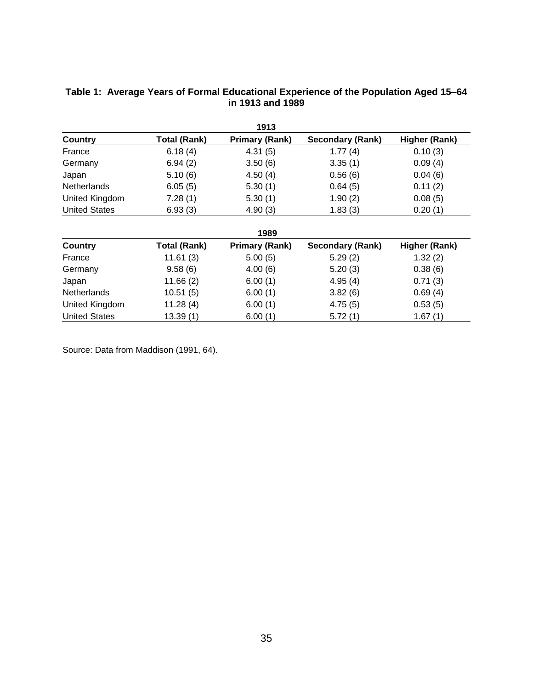#### **Table 1: Average Years of Formal Educational Experience of the Population Aged 15–64 in 1913 and 1989**

|                      | 1913                |                       |                         |                      |  |  |  |  |
|----------------------|---------------------|-----------------------|-------------------------|----------------------|--|--|--|--|
| <b>Country</b>       | <b>Total (Rank)</b> | <b>Primary (Rank)</b> | Secondary (Rank)        | <b>Higher (Rank)</b> |  |  |  |  |
| France               | 6.18(4)             | 4.31(5)               | 1.77(4)                 | 0.10(3)              |  |  |  |  |
| Germany              | 6.94(2)             | 3.50(6)               | 3.35(1)                 | 0.09(4)              |  |  |  |  |
| Japan                | 5.10(6)             | 4.50(4)               | 0.56(6)                 | 0.04(6)              |  |  |  |  |
| <b>Netherlands</b>   | 6.05(5)             | 5.30(1)               | 0.64(5)                 | 0.11(2)              |  |  |  |  |
| United Kingdom       | 7.28(1)             | 5.30(1)               | 1.90(2)                 | 0.08(5)              |  |  |  |  |
| <b>United States</b> | 6.93(3)             | 4.90(3)               | 1.83(3)                 | 0.20(1)              |  |  |  |  |
|                      |                     |                       |                         |                      |  |  |  |  |
|                      |                     | 1989                  |                         |                      |  |  |  |  |
| Country              | <b>Total (Rank)</b> | <b>Primary (Rank)</b> | <b>Secondary (Rank)</b> | <b>Higher (Rank)</b> |  |  |  |  |
| France               | 11.61(3)            | 5.00(5)               | 5.29(2)                 | 1.32(2)              |  |  |  |  |
| Germany              | 9.58(6)             | 4.00(6)               | 5.20(3)                 | 0.38(6)              |  |  |  |  |
| Japan                | 11.66(2)            | 6.00(1)               | 4.95(4)                 | 0.71(3)              |  |  |  |  |
| <b>Netherlands</b>   | 10.51(5)            | 6.00(1)               | 3.82(6)                 | 0.69(4)              |  |  |  |  |
| United Kingdom       | 11.28(4)            | 6.00(1)               | 4.75(5)                 | 0.53(5)              |  |  |  |  |
| <b>United States</b> | 13.39(1)            | 6.00(1)               | 5.72(1)                 | 1.67(1)              |  |  |  |  |

Source: Data from Maddison (1991, 64).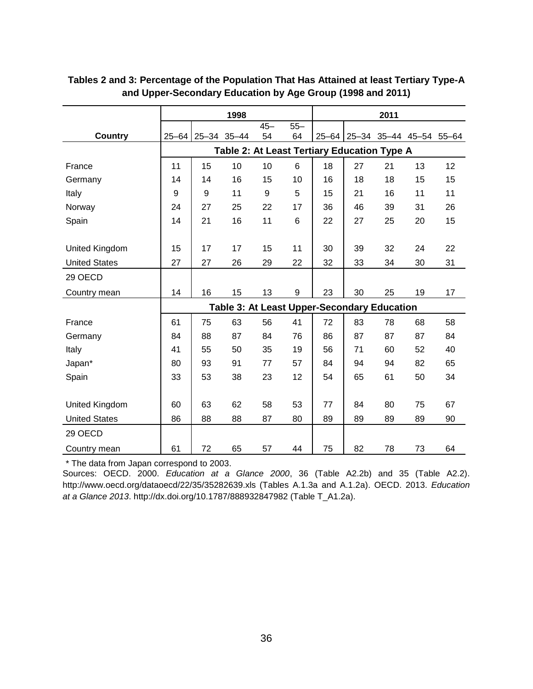|                      |           |             | 1998                                        |              |              |    |                                 | 2011 |    |    |
|----------------------|-----------|-------------|---------------------------------------------|--------------|--------------|----|---------------------------------|------|----|----|
| <b>Country</b>       | $25 - 64$ | 25-34 35-44 |                                             | $45 -$<br>54 | $55 -$<br>64 |    | 25-64   25-34 35-44 45-54 55-64 |      |    |    |
|                      |           |             | Table 2: At Least Tertiary Education Type A |              |              |    |                                 |      |    |    |
| France               | 11        | 15          | 10                                          | 10           | 6            | 18 | 27                              | 21   | 13 | 12 |
| Germany              | 14        | 14          | 16                                          | 15           | 10           | 16 | 18                              | 18   | 15 | 15 |
| Italy                | 9         | 9           | 11                                          | 9            | 5            | 15 | 21                              | 16   | 11 | 11 |
|                      | 24        |             | 25                                          | 22           | 17           | 36 | 46                              | 39   | 31 | 26 |
| Norway               |           | 27          |                                             |              |              |    |                                 |      |    |    |
| Spain                | 14        | 21          | 16                                          | 11           | 6            | 22 | 27                              | 25   | 20 | 15 |
| United Kingdom       | 15        | 17          | 17                                          | 15           | 11           | 30 | 39                              | 32   | 24 | 22 |
| <b>United States</b> | 27        | 27          | 26                                          | 29           | 22           | 32 | 33                              | 34   | 30 | 31 |
| 29 OECD              |           |             |                                             |              |              |    |                                 |      |    |    |
| Country mean         | 14        | 16          | 15                                          | 13           | 9            | 23 | 30                              | 25   | 19 | 17 |
|                      |           |             |                                             |              |              |    |                                 |      |    |    |
|                      |           |             | Table 3: At Least Upper-Secondary Education |              |              |    |                                 |      |    |    |
| France               | 61        | 75          | 63                                          | 56           | 41           | 72 | 83                              | 78   | 68 | 58 |
| Germany              | 84        | 88          | 87                                          | 84           | 76           | 86 | 87                              | 87   | 87 | 84 |
| Italy                | 41        | 55          | 50                                          | 35           | 19           | 56 | 71                              | 60   | 52 | 40 |
| Japan*               | 80        | 93          | 91                                          | 77           | 57           | 84 | 94                              | 94   | 82 | 65 |
| Spain                | 33        | 53          | 38                                          | 23           | 12           | 54 | 65                              | 61   | 50 | 34 |
|                      |           |             |                                             |              |              |    |                                 |      |    |    |
| United Kingdom       | 60        | 63          | 62                                          | 58           | 53           | 77 | 84                              | 80   | 75 | 67 |
| <b>United States</b> | 86        | 88          | 88                                          | 87           | 80           | 89 | 89                              | 89   | 89 | 90 |
| 29 OECD              |           |             |                                             |              |              |    |                                 |      |    |    |
| Country mean         | 61        | 72          | 65                                          | 57           | 44           | 75 | 82                              | 78   | 73 | 64 |

#### **Tables 2 and 3: Percentage of the Population That Has Attained at least Tertiary Type-A and Upper-Secondary Education by Age Group (1998 and 2011)**

\* The data from Japan correspond to 2003.

Sources: OECD. 2000. *Education at a Glance 2000*, 36 (Table A2.2b) and 35 (Table A2.2). http://www.oecd.org/dataoecd/22/35/35282639.xls (Tables A.1.3a and A.1.2a). OECD. 2013. *Education at a Glance 2013*. http://dx.doi.org/10.1787/888932847982 (Table T\_A1.2a).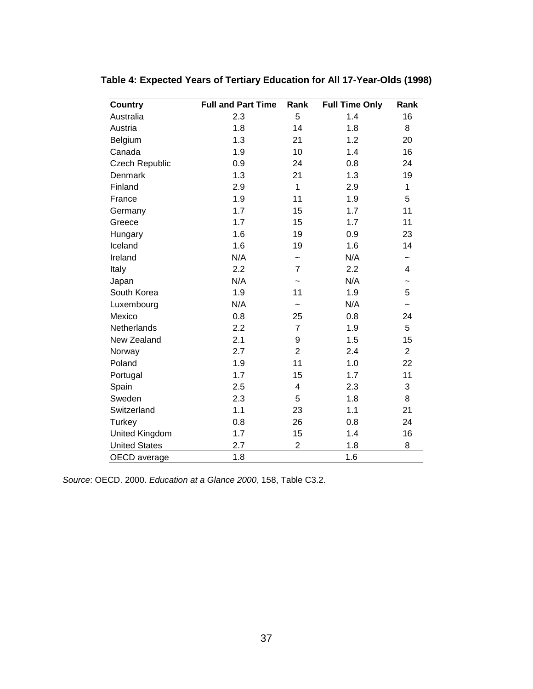| Country              | <b>Full and Part Time</b> | Rank                  | <b>Full Time Only</b> | Rank           |
|----------------------|---------------------------|-----------------------|-----------------------|----------------|
| Australia            | 2.3                       | 5                     | 1.4                   | 16             |
| Austria              | 1.8                       | 14                    | 1.8                   | 8              |
| Belgium              | 1.3                       | 21                    | 1.2                   | 20             |
| Canada               | 1.9                       | 10                    | 1.4                   | 16             |
| Czech Republic       | 0.9                       | 24                    | 0.8                   | 24             |
| Denmark              | 1.3                       | 21                    | 1.3                   | 19             |
| Finland              | 2.9                       | $\mathbf{1}$          | 2.9                   | 1              |
| France               | 1.9                       | 11                    | 1.9                   | 5              |
| Germany              | 1.7                       | 15                    | 1.7                   | 11             |
| Greece               | 1.7                       | 15                    | 1.7                   | 11             |
| Hungary              | 1.6                       | 19                    | 0.9                   | 23             |
| Iceland              | 1.6                       | 19                    | 1.6                   | 14             |
| Ireland              | N/A                       | $\tilde{\phantom{a}}$ | N/A                   |                |
| Italy                | 2.2                       | $\overline{7}$        | 2.2                   | 4              |
| Japan                | N/A                       |                       | N/A                   |                |
| South Korea          | 1.9                       | 11                    | 1.9                   | 5              |
| Luxembourg           | N/A                       | $\tilde{\phantom{a}}$ | N/A                   | ∼              |
| Mexico               | 0.8                       | 25                    | 0.8                   | 24             |
| Netherlands          | 2.2                       | $\overline{7}$        | 1.9                   | 5              |
| New Zealand          | 2.1                       | 9                     | 1.5                   | 15             |
| Norway               | 2.7                       | $\overline{2}$        | 2.4                   | $\overline{2}$ |
| Poland               | 1.9                       | 11                    | 1.0                   | 22             |
| Portugal             | 1.7                       | 15                    | 1.7                   | 11             |
| Spain                | 2.5                       | 4                     | 2.3                   | 3              |
| Sweden               | 2.3                       | 5                     | 1.8                   | 8              |
| Switzerland          | 1.1                       | 23                    | 1.1                   | 21             |
| Turkey               | 0.8                       | 26                    | 0.8                   | 24             |
| United Kingdom       | 1.7                       | 15                    | 1.4                   | 16             |
| <b>United States</b> | 2.7                       | $\overline{2}$        | 1.8                   | 8              |
| OECD average         | 1.8                       |                       | 1.6                   |                |

**Table 4: Expected Years of Tertiary Education for All 17-Year-Olds (1998)**

*Source*: OECD. 2000. *Education at a Glance 2000*, 158, Table C3.2.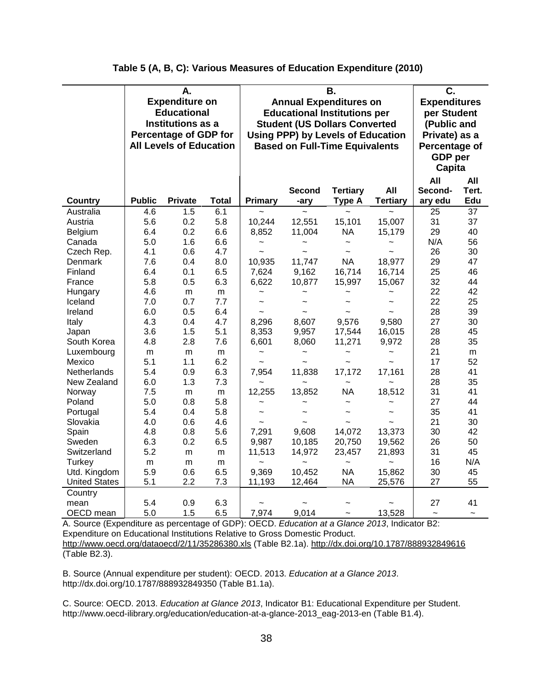|                      |               | А.<br><b>Expenditure on</b><br><b>Educational</b><br>Institutions as a<br><b>Percentage of GDP for</b><br><b>All Levels of Education</b> |              | <b>B.</b><br><b>Annual Expenditures on</b><br><b>Educational Institutions per</b><br><b>Student (US Dollars Converted</b><br><b>Using PPP) by Levels of Education</b><br><b>Based on Full-Time Equivalents</b> |                          |                       |                          | C.<br><b>Expenditures</b><br>per Student<br>(Public and<br>Private) as a<br>Percentage of<br>GDP per<br><b>Capita</b><br>All<br>All |                       |
|----------------------|---------------|------------------------------------------------------------------------------------------------------------------------------------------|--------------|----------------------------------------------------------------------------------------------------------------------------------------------------------------------------------------------------------------|--------------------------|-----------------------|--------------------------|-------------------------------------------------------------------------------------------------------------------------------------|-----------------------|
|                      |               |                                                                                                                                          |              |                                                                                                                                                                                                                | <b>Second</b>            | <b>Tertiary</b>       | All                      | Second-                                                                                                                             | Tert.                 |
| <b>Country</b>       | <b>Public</b> | <b>Private</b>                                                                                                                           | <b>Total</b> | <b>Primary</b>                                                                                                                                                                                                 | -ary                     | <b>Type A</b>         | <b>Tertiary</b>          | ary edu                                                                                                                             | Edu                   |
| Australia            | 4.6           | 1.5                                                                                                                                      | 6.1          | $\overline{\phantom{0}}$                                                                                                                                                                                       | $\overline{\phantom{0}}$ | $\tilde{\phantom{a}}$ | $\tilde{\phantom{a}}$    | 25                                                                                                                                  | 37                    |
| Austria              | 5.6           | 0.2                                                                                                                                      | 5.8          | 10,244                                                                                                                                                                                                         | 12,551                   | 15,101                | 15,007                   | 31                                                                                                                                  | 37                    |
| Belgium              | 6.4           | 0.2                                                                                                                                      | 6.6          | 8,852                                                                                                                                                                                                          | 11,004                   | <b>NA</b>             | 15,179                   | 29                                                                                                                                  | 40                    |
| Canada               | 5.0           | 1.6                                                                                                                                      | 6.6          |                                                                                                                                                                                                                |                          | $\tilde{\phantom{a}}$ |                          | N/A                                                                                                                                 | 56                    |
| Czech Rep.           | 4.1           | 0.6                                                                                                                                      | 4.7          |                                                                                                                                                                                                                |                          | $\sim$                | $\overline{\phantom{0}}$ | 26                                                                                                                                  | 30                    |
| Denmark              | 7.6           | 0.4                                                                                                                                      | 8.0          | 10,935                                                                                                                                                                                                         | 11,747                   | <b>NA</b>             | 18,977                   | 29                                                                                                                                  | 47                    |
| Finland              | 6.4           | 0.1                                                                                                                                      | 6.5          | 7,624                                                                                                                                                                                                          | 9,162                    | 16,714                | 16,714                   | 25                                                                                                                                  | 46                    |
| France               | 5.8           | 0.5                                                                                                                                      | 6.3          | 6,622                                                                                                                                                                                                          | 10,877                   | 15,997                | 15,067                   | 32                                                                                                                                  | 44                    |
| Hungary              | 4.6           | m                                                                                                                                        | m            | $\tilde{\phantom{a}}$                                                                                                                                                                                          | $\tilde{}$               | $\tilde{}$            |                          | 22                                                                                                                                  | 42                    |
| Iceland              | 7.0           | 0.7                                                                                                                                      | 7.7          | $\tilde{}$                                                                                                                                                                                                     | $\tilde{}$               | $\tilde{}$            | $\tilde{}$               | 22                                                                                                                                  | 25                    |
| Ireland              | 6.0           | 0.5                                                                                                                                      | 6.4          | $\ddot{\phantom{1}}$                                                                                                                                                                                           | $\overline{\phantom{0}}$ | $\sim$                | $\tilde{\phantom{a}}$    | 28                                                                                                                                  | 39                    |
| Italy                | 4.3           | 0.4                                                                                                                                      | 4.7          | 8,296                                                                                                                                                                                                          | 8,607                    | 9,576                 | 9,580                    | 27                                                                                                                                  | 30                    |
| Japan                | 3.6           | 1.5                                                                                                                                      | 5.1          | 8,353                                                                                                                                                                                                          | 9,957                    | 17,544                | 16,015                   | 28                                                                                                                                  | 45                    |
| South Korea          | 4.8           | 2.8                                                                                                                                      | 7.6          | 6,601                                                                                                                                                                                                          | 8,060                    | 11,271                | 9,972                    | 28                                                                                                                                  | 35                    |
| Luxembourg           | m             | m                                                                                                                                        | m            | $\tilde{\phantom{a}}$                                                                                                                                                                                          | $\tilde{\phantom{a}}$    | $\tilde{\phantom{a}}$ | $\tilde{}$               | 21                                                                                                                                  | m                     |
| Mexico               | 5.1           | 1.1                                                                                                                                      | 6.2          | $\overline{\phantom{0}}$                                                                                                                                                                                       | $\sim$                   | $\overline{ }$        |                          | 17                                                                                                                                  | 52                    |
| Netherlands          | 5.4           | 0.9                                                                                                                                      | 6.3          | 7,954                                                                                                                                                                                                          | 11,838                   | 17,172                | 17,161                   | 28                                                                                                                                  | 41                    |
| New Zealand          | 6.0           | 1.3                                                                                                                                      | 7.3          |                                                                                                                                                                                                                |                          |                       |                          | 28                                                                                                                                  | 35                    |
| Norway               | 7.5           | m                                                                                                                                        | m            | 12,255                                                                                                                                                                                                         | 13,852                   | <b>NA</b>             | 18,512                   | 31                                                                                                                                  | 41                    |
| Poland               | 5.0           | 0.8                                                                                                                                      | 5.8          | ∼                                                                                                                                                                                                              | $\tilde{\phantom{a}}$    | $\tilde{\phantom{a}}$ | $\tilde{\phantom{a}}$    | 27                                                                                                                                  | 44                    |
| Portugal             | 5.4           | 0.4                                                                                                                                      | 5.8          | $\overline{\phantom{0}}$                                                                                                                                                                                       |                          | $\tilde{\phantom{a}}$ |                          | 35                                                                                                                                  | 41                    |
| Slovakia             | 4.0           | 0.6                                                                                                                                      | 4.6          | $\tilde{\phantom{a}}$                                                                                                                                                                                          | $\tilde{\phantom{a}}$    | $\sim$                | $\tilde{\phantom{a}}$    | 21                                                                                                                                  | 30                    |
| Spain                | 4.8           | 0.8                                                                                                                                      | 5.6          | 7,291                                                                                                                                                                                                          | 9,608                    | 14,072                | 13,373                   | 30                                                                                                                                  | 42                    |
| Sweden               | 6.3           | 0.2                                                                                                                                      | 6.5          | 9,987                                                                                                                                                                                                          | 10,185                   | 20,750                | 19,562                   | 26                                                                                                                                  | 50                    |
| Switzerland          | 5.2           | m                                                                                                                                        | m            | 11,513                                                                                                                                                                                                         | 14,972                   | 23,457                | 21,893                   | 31                                                                                                                                  | 45                    |
| Turkey               | m             | m                                                                                                                                        | m            |                                                                                                                                                                                                                | $\overline{\phantom{0}}$ | $\tilde{\phantom{a}}$ |                          | 16                                                                                                                                  | N/A                   |
| Utd. Kingdom         | 5.9           | 0.6                                                                                                                                      | 6.5          | 9,369                                                                                                                                                                                                          | 10,452                   | <b>NA</b>             | 15,862                   | 30                                                                                                                                  | 45                    |
| <b>United States</b> | 5.1           | 2.2                                                                                                                                      | 7.3          | 11,193                                                                                                                                                                                                         | 12,464                   | <b>NA</b>             | 25,576                   | 27                                                                                                                                  | 55                    |
| Country              |               |                                                                                                                                          |              |                                                                                                                                                                                                                |                          |                       |                          |                                                                                                                                     |                       |
| mean                 | 5.4           | 0.9                                                                                                                                      | 6.3          |                                                                                                                                                                                                                |                          | ~                     |                          | 27                                                                                                                                  | 41                    |
| OECD mean            | 5.0           | 1.5                                                                                                                                      | 6.5          | 7,974                                                                                                                                                                                                          | 9,014                    | $\tilde{\phantom{a}}$ | 13,528                   | $\tilde{}$                                                                                                                          | $\tilde{\phantom{a}}$ |

#### **Table 5 (A, B, C): Various Measures of Education Expenditure (2010)**

A. Source (Expenditure as percentage of GDP): OECD. *Education at a Glance 2013*, Indicator B2: Expenditure on Educational Institutions Relative to Gross Domestic Product. <http://www.oecd.org/dataoecd/2/11/35286380.xls> (Table B2.1a).<http://dx.doi.org/10.1787/888932849616> (Table B2.3).

B. Source (Annual expenditure per student): OECD. 2013. *Education at a Glance 2013*. http://dx.doi.org/10.1787/888932849350 (Table B1.1a).

C. Source: OECD. 2013. *Education at Glance 2013*, Indicator B1: Educational Expenditure per Student. http://www.oecd-ilibrary.org/education/education-at-a-glance-2013\_eag-2013-en (Table B1.4).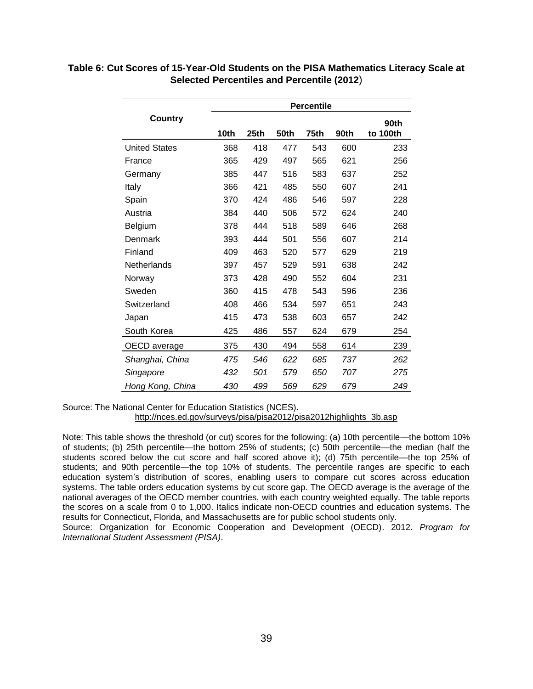## **Table 6: Cut Scores of 15-Year-Old Students on the PISA Mathematics Literacy Scale at Selected Percentiles and Percentile (2012**)

|                      | <b>Percentile</b> |      |             |      |      |          |
|----------------------|-------------------|------|-------------|------|------|----------|
| Country              |                   |      |             |      |      | 90th     |
|                      | 10th              | 25th | <b>50th</b> | 75th | 90th | to 100th |
| <b>United States</b> | 368               | 418  | 477         | 543  | 600  | 233      |
| France               | 365               | 429  | 497         | 565  | 621  | 256      |
| Germany              | 385               | 447  | 516         | 583  | 637  | 252      |
| Italy                | 366               | 421  | 485         | 550  | 607  | 241      |
| Spain                | 370               | 424  | 486         | 546  | 597  | 228      |
| Austria              | 384               | 440  | 506         | 572  | 624  | 240      |
| Belgium              | 378               | 444  | 518         | 589  | 646  | 268      |
| Denmark              | 393               | 444  | 501         | 556  | 607  | 214      |
| Finland              | 409               | 463  | 520         | 577  | 629  | 219      |
| Netherlands          | 397               | 457  | 529         | 591  | 638  | 242      |
| Norway               | 373               | 428  | 490         | 552  | 604  | 231      |
| Sweden               | 360               | 415  | 478         | 543  | 596  | 236      |
| Switzerland          | 408               | 466  | 534         | 597  | 651  | 243      |
| Japan                | 415               | 473  | 538         | 603  | 657  | 242      |
| South Korea          | 425               | 486  | 557         | 624  | 679  | 254      |
| OECD average         | 375               | 430  | 494         | 558  | 614  | 239      |
| Shanghai, China      | 475               | 546  | 622         | 685  | 737  | 262      |
| Singapore            | 432               | 501  | 579         | 650  | 707  | 275      |
| Hong Kong, China     | 430               | 499  | 569         | 629  | 679  | 249      |

Source: The National Center for Education Statistics (NCES).

[http://nces.ed.gov/surveys/pisa/pisa2012/pisa2012highlights\\_3b.asp](http://nces.ed.gov/surveys/pisa/pisa2012/pisa2012highlights_3b.asp)

Note: This table shows the threshold (or cut) scores for the following: (a) 10th percentile—the bottom 10% of students; (b) 25th percentile—the bottom 25% of students; (c) 50th percentile—the median (half the students scored below the cut score and half scored above it); (d) 75th percentile—the top 25% of students; and 90th percentile—the top 10% of students. The percentile ranges are specific to each education system's distribution of scores, enabling users to compare cut scores across education systems. The table orders education systems by cut score gap. The OECD average is the average of the national averages of the OECD member countries, with each country weighted equally. The table reports the scores on a scale from 0 to 1,000. Italics indicate non-OECD countries and education systems. The results for Connecticut, Florida, and Massachusetts are for public school students only.

Source: Organization for Economic Cooperation and Development (OECD). 2012. *Program for International Student Assessment (PISA)*.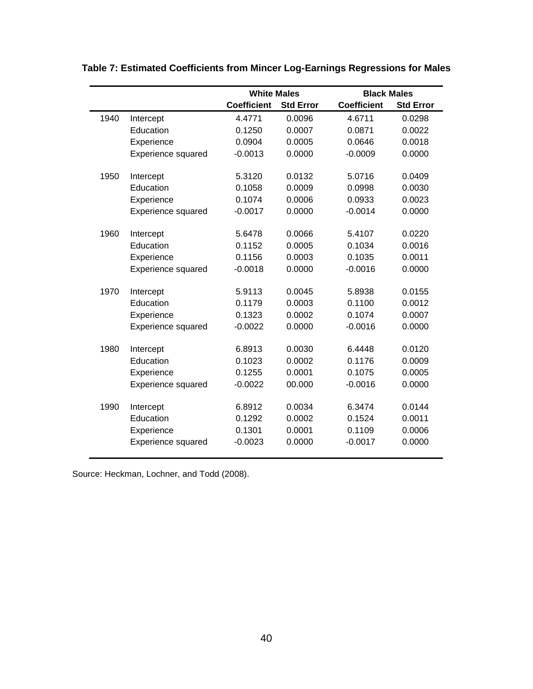|      |                           | <b>White Males</b> |                  | <b>Black Males</b> |                  |
|------|---------------------------|--------------------|------------------|--------------------|------------------|
|      |                           | <b>Coefficient</b> | <b>Std Error</b> | <b>Coefficient</b> | <b>Std Error</b> |
| 1940 | Intercept                 | 4.4771             | 0.0096           | 4.6711             | 0.0298           |
|      | Education                 | 0.1250             | 0.0007           | 0.0871             | 0.0022           |
|      | Experience                | 0.0904             | 0.0005           | 0.0646             | 0.0018           |
|      | <b>Experience squared</b> | $-0.0013$          | 0.0000           | $-0.0009$          | 0.0000           |
| 1950 | Intercept                 | 5.3120             | 0.0132           | 5.0716             | 0.0409           |
|      | Education                 | 0.1058             | 0.0009           | 0.0998             | 0.0030           |
|      | Experience                | 0.1074             | 0.0006           | 0.0933             | 0.0023           |
|      | Experience squared        | $-0.0017$          | 0.0000           | $-0.0014$          | 0.0000           |
| 1960 | Intercept                 | 5.6478             | 0.0066           | 5.4107             | 0.0220           |
|      | Education                 | 0.1152             | 0.0005           | 0.1034             | 0.0016           |
|      | Experience                | 0.1156             | 0.0003           | 0.1035             | 0.0011           |
|      | Experience squared        | $-0.0018$          | 0.0000           | $-0.0016$          | 0.0000           |
| 1970 | Intercept                 | 5.9113             | 0.0045           | 5.8938             | 0.0155           |
|      | Education                 | 0.1179             | 0.0003           | 0.1100             | 0.0012           |
|      | Experience                | 0.1323             | 0.0002           | 0.1074             | 0.0007           |
|      | <b>Experience squared</b> | $-0.0022$          | 0.0000           | $-0.0016$          | 0.0000           |
| 1980 | Intercept                 | 6.8913             | 0.0030           | 6.4448             | 0.0120           |
|      | Education                 | 0.1023             | 0.0002           | 0.1176             | 0.0009           |
|      | Experience                | 0.1255             | 0.0001           | 0.1075             | 0.0005           |
|      | <b>Experience squared</b> | $-0.0022$          | 00.000           | $-0.0016$          | 0.0000           |
| 1990 | Intercept                 | 6.8912             | 0.0034           | 6.3474             | 0.0144           |
|      | Education                 | 0.1292             | 0.0002           | 0.1524             | 0.0011           |
|      | Experience                | 0.1301             | 0.0001           | 0.1109             | 0.0006           |
|      | Experience squared        | $-0.0023$          | 0.0000           | $-0.0017$          | 0.0000           |

**Table 7: Estimated Coefficients from Mincer Log-Earnings Regressions for Males** 

Source: Heckman, Lochner, and Todd (2008).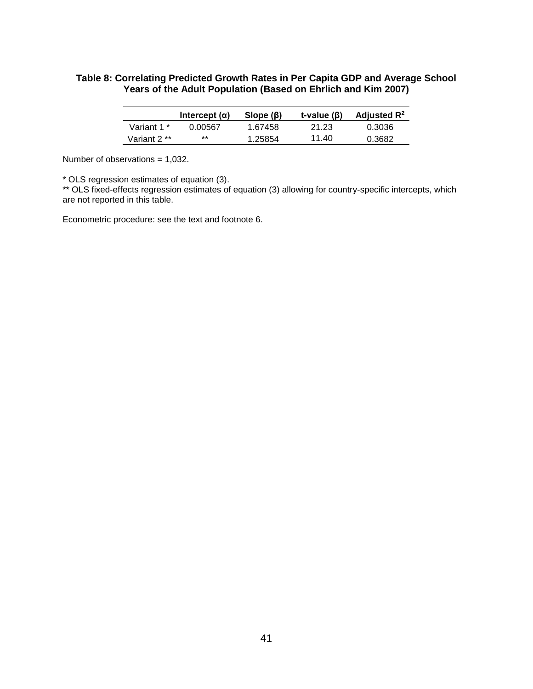#### **Table 8: Correlating Predicted Growth Rates in Per Capita GDP and Average School Years of the Adult Population (Based on Ehrlich and Kim 2007)**

|              | Intercept $(\alpha)$ | $Slope (\beta)$ | t-value $(\beta)$ | Adjusted $R^2$ |
|--------------|----------------------|-----------------|-------------------|----------------|
| Variant 1 *  | 0.00567              | 1.67458         | 21.23             | 0.3036         |
| Variant 2 ** | **                   | 1.25854         | 11.40             | 0.3682         |

Number of observations = 1,032.

\* OLS regression estimates of equation (3).

\*\* OLS fixed-effects regression estimates of equation (3) allowing for country-specific intercepts, which are not reported in this table.

Econometric procedure: see the text and footnote 6.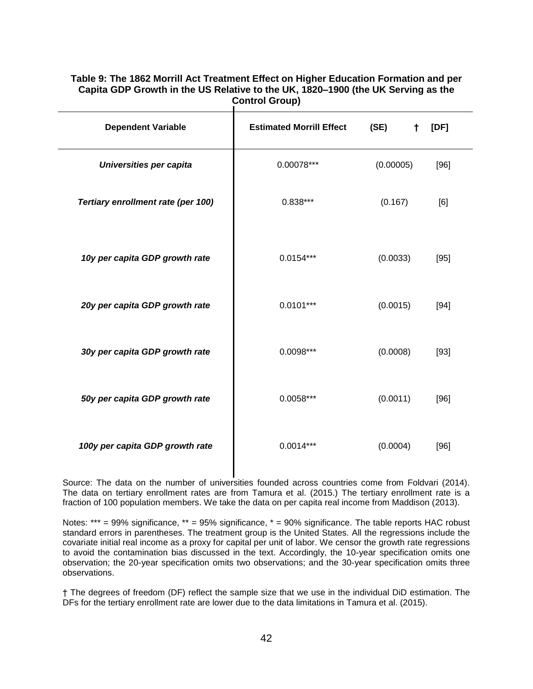#### **Table 9: The 1862 Morrill Act Treatment Effect on Higher Education Formation and per Capita GDP Growth in the US Relative to the UK, 1820–1900 (the UK Serving as the Control Group)**

| <b>Dependent Variable</b>          | <b>Estimated Morrill Effect</b> | (SE)<br>t | [DF]   |
|------------------------------------|---------------------------------|-----------|--------|
| Universities per capita            | 0.00078***                      | (0.00005) | $[96]$ |
| Tertiary enrollment rate (per 100) | $0.838***$                      | (0.167)   | [6]    |
| 10y per capita GDP growth rate     | $0.0154***$                     | (0.0033)  | $[95]$ |
| 20y per capita GDP growth rate     | $0.0101***$                     | (0.0015)  | $[94]$ |
| 30y per capita GDP growth rate     | $0.0098***$                     | (0.0008)  | $[93]$ |
| 50y per capita GDP growth rate     | $0.0058***$                     | (0.0011)  | $[96]$ |
| 100y per capita GDP growth rate    | $0.0014***$                     | (0.0004)  | [96]   |

Source: The data on the number of universities founded across countries come from Foldvari (2014). The data on tertiary enrollment rates are from Tamura et al. (2015.) The tertiary enrollment rate is a fraction of 100 population members. We take the data on per capita real income from Maddison (2013).

Notes: \*\*\* = 99% significance, \*\* = 95% significance, \* = 90% significance. The table reports HAC robust standard errors in parentheses. The treatment group is the United States. All the regressions include the covariate initial real income as a proxy for capital per unit of labor. We censor the growth rate regressions to avoid the contamination bias discussed in the text. Accordingly, the 10-year specification omits one observation; the 20-year specification omits two observations; and the 30-year specification omits three observations.

† The degrees of freedom (DF) reflect the sample size that we use in the individual DiD estimation. The DFs for the tertiary enrollment rate are lower due to the data limitations in Tamura et al. (2015).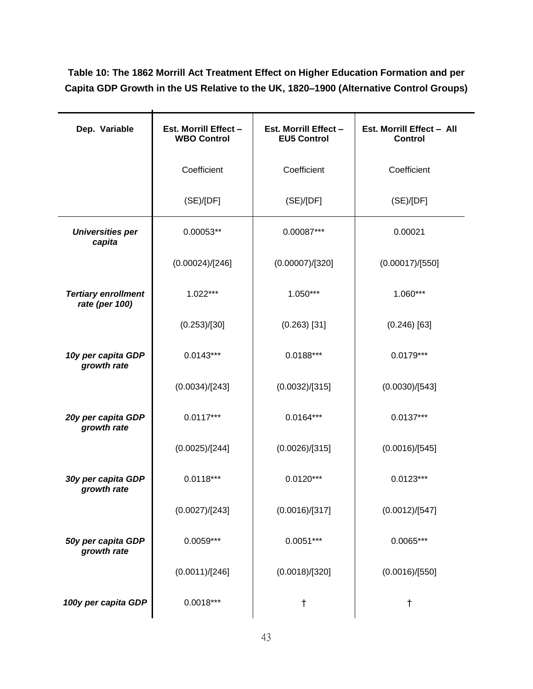**Table 10: The 1862 Morrill Act Treatment Effect on Higher Education Formation and per Capita GDP Growth in the US Relative to the UK, 1820–1900 (Alternative Control Groups)**

| Dep. Variable                                | Est. Morrill Effect -<br><b>WBO Control</b> | Est. Morrill Effect -<br><b>EU5 Control</b> | Est. Morrill Effect - All<br><b>Control</b> |
|----------------------------------------------|---------------------------------------------|---------------------------------------------|---------------------------------------------|
|                                              | Coefficient                                 | Coefficient                                 | Coefficient                                 |
|                                              | (SE)/[DF]                                   | (SE)/[DF]                                   | (SE)/[DF]                                   |
| <b>Universities per</b><br>capita            | 0.00053**                                   | 0.00087***                                  | 0.00021                                     |
|                                              | (0.00024)/[246]                             | (0.00007)/[320]                             | (0.00017)/[550]                             |
| <b>Tertiary enrollment</b><br>rate (per 100) | $1.022***$                                  | 1.050***                                    | 1.060***                                    |
|                                              | (0.253)/[30]                                | $(0.263)$ [31]                              | $(0.246)$ [63]                              |
| 10y per capita GDP<br>growth rate            | $0.0143***$                                 | 0.0188***                                   | $0.0179***$                                 |
|                                              | (0.0034)/[243]                              | (0.0032)/[315]                              | (0.0030)/[543]                              |
| 20y per capita GDP<br>growth rate            | $0.0117***$                                 | 0.0164***                                   | $0.0137***$                                 |
|                                              | (0.0025)/[244]                              | (0.0026)/[315]                              | (0.0016)/[545]                              |
| 30y per capita GDP<br>growth rate            | $0.0118***$                                 | $0.0120***$                                 | $0.0123***$                                 |
|                                              | (0.0027)/[243]                              | (0.0016)/[317]                              | (0.0012)/[547]                              |
| 50y per capita GDP<br>growth rate            | $0.0059***$                                 | $0.0051***$                                 | 0.0065***                                   |
|                                              | (0.0011)/[246]                              | (0.0018)/[320]                              | (0.0016)/[550]                              |
| 100y per capita GDP                          | $0.0018***$                                 | t                                           | t                                           |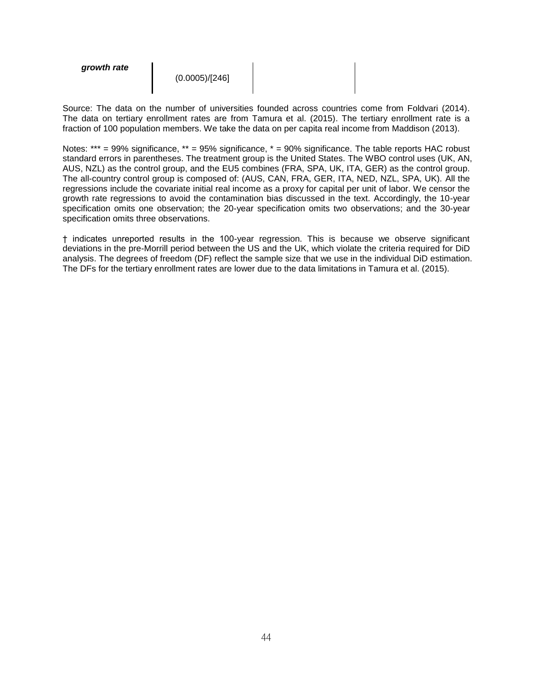| growth rate | (0.0005)/[246] |  |
|-------------|----------------|--|
|-------------|----------------|--|

Source: The data on the number of universities founded across countries come from Foldvari (2014). The data on tertiary enrollment rates are from Tamura et al. (2015). The tertiary enrollment rate is a fraction of 100 population members. We take the data on per capita real income from Maddison (2013).

Notes: \*\*\* = 99% significance, \*\* = 95% significance, \* = 90% significance. The table reports HAC robust standard errors in parentheses. The treatment group is the United States. The WBO control uses (UK, AN, AUS, NZL) as the control group, and the EU5 combines (FRA, SPA, UK, ITA, GER) as the control group. The all-country control group is composed of: (AUS, CAN, FRA, GER, ITA, NED, NZL, SPA, UK). All the regressions include the covariate initial real income as a proxy for capital per unit of labor. We censor the growth rate regressions to avoid the contamination bias discussed in the text. Accordingly, the 10-year specification omits one observation; the 20-year specification omits two observations; and the 30-year specification omits three observations.

† indicates unreported results in the 100-year regression. This is because we observe significant deviations in the pre-Morrill period between the US and the UK, which violate the criteria required for DiD analysis. The degrees of freedom (DF) reflect the sample size that we use in the individual DiD estimation. The DFs for the tertiary enrollment rates are lower due to the data limitations in Tamura et al. (2015).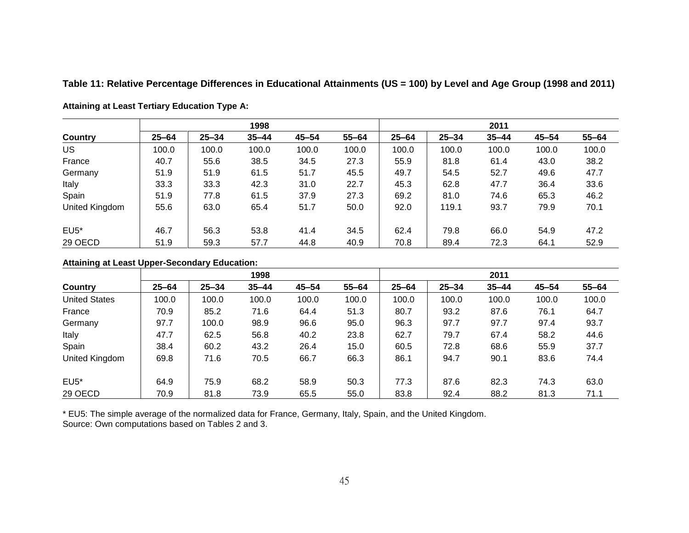**Table 11: Relative Percentage Differences in Educational Attainments (US = 100) by Level and Age Group (1998 and 2011)**

| <b>Country</b> | 1998      |           |           |           | 2011      |           |           |           |           |           |
|----------------|-----------|-----------|-----------|-----------|-----------|-----------|-----------|-----------|-----------|-----------|
|                | $25 - 64$ | $25 - 34$ | $35 - 44$ | $45 - 54$ | $55 - 64$ | $25 - 64$ | $25 - 34$ | $35 - 44$ | $45 - 54$ | $55 - 64$ |
| <b>US</b>      | 100.0     | 100.0     | 100.0     | 100.0     | 100.0     | 100.0     | 100.0     | 100.0     | 100.0     | 100.0     |
| France         | 40.7      | 55.6      | 38.5      | 34.5      | 27.3      | 55.9      | 81.8      | 61.4      | 43.0      | 38.2      |
| Germany        | 51.9      | 51.9      | 61.5      | 51.7      | 45.5      | 49.7      | 54.5      | 52.7      | 49.6      | 47.7      |
| Italy          | 33.3      | 33.3      | 42.3      | 31.0      | 22.7      | 45.3      | 62.8      | 47.7      | 36.4      | 33.6      |
| Spain          | 51.9      | 77.8      | 61.5      | 37.9      | 27.3      | 69.2      | 81.0      | 74.6      | 65.3      | 46.2      |
| United Kingdom | 55.6      | 63.0      | 65.4      | 51.7      | 50.0      | 92.0      | 119.1     | 93.7      | 79.9      | 70.1      |
| $EU5*$         | 46.7      | 56.3      | 53.8      | 41.4      | 34.5      | 62.4      | 79.8      | 66.0      | 54.9      | 47.2      |
| 29 OECD        | 51.9      | 59.3      | 57.7      | 44.8      | 40.9      | 70.8      | 89.4      | 72.3      | 64.1      | 52.9      |

**Attaining at Least Tertiary Education Type A:** 

#### **Attaining at Least Upper-Secondary Education:**

| <b>Country</b>       | 1998      |           |           |           | 2011      |           |           |           |           |           |
|----------------------|-----------|-----------|-----------|-----------|-----------|-----------|-----------|-----------|-----------|-----------|
|                      | $25 - 64$ | $25 - 34$ | $35 - 44$ | $45 - 54$ | $55 - 64$ | $25 - 64$ | $25 - 34$ | $35 - 44$ | $45 - 54$ | $55 - 64$ |
| <b>United States</b> | 100.0     | 100.0     | 100.0     | 100.0     | 100.0     | 100.0     | 100.0     | 100.0     | 100.0     | 100.0     |
| France               | 70.9      | 85.2      | 71.6      | 64.4      | 51.3      | 80.7      | 93.2      | 87.6      | 76.1      | 64.7      |
| Germany              | 97.7      | 100.0     | 98.9      | 96.6      | 95.0      | 96.3      | 97.7      | 97.7      | 97.4      | 93.7      |
| Italy                | 47.7      | 62.5      | 56.8      | 40.2      | 23.8      | 62.7      | 79.7      | 67.4      | 58.2      | 44.6      |
| Spain                | 38.4      | 60.2      | 43.2      | 26.4      | 15.0      | 60.5      | 72.8      | 68.6      | 55.9      | 37.7      |
| United Kingdom       | 69.8      | 71.6      | 70.5      | 66.7      | 66.3      | 86.1      | 94.7      | 90.1      | 83.6      | 74.4      |
| EU <sub>5</sub> *    | 64.9      | 75.9      | 68.2      | 58.9      | 50.3      | 77.3      | 87.6      | 82.3      | 74.3      | 63.0      |
| 29 OECD              | 70.9      | 81.8      | 73.9      | 65.5      | 55.0      | 83.8      | 92.4      | 88.2      | 81.3      | 71.1      |

\* EU5: The simple average of the normalized data for France, Germany, Italy, Spain, and the United Kingdom. Source: Own computations based on Tables 2 and 3.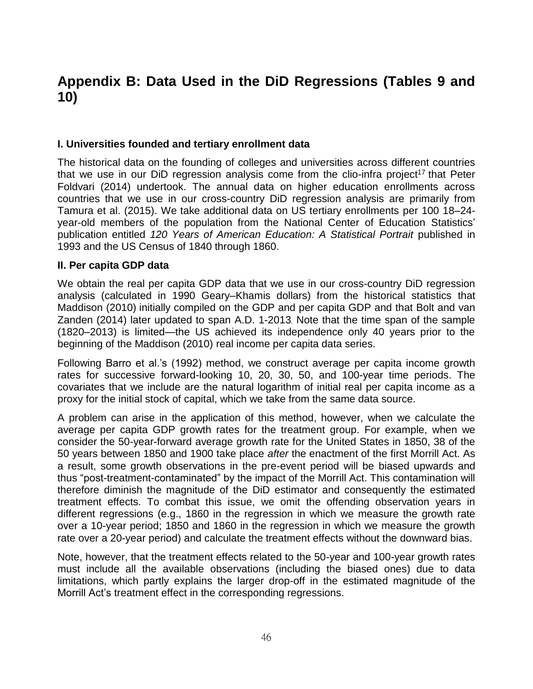## **Appendix B: Data Used in the DiD Regressions (Tables 9 and 10)**

#### **I. Universities founded and tertiary enrollment data**

The historical data on the founding of colleges and universities across different countries that we use in our DiD regression analysis come from the clio-infra project<sup>17</sup> that Peter Foldvari (2014) undertook. The annual data on higher education enrollments across countries that we use in our cross-country DiD regression analysis are primarily from Tamura et al. (2015). We take additional data on US tertiary enrollments per 100 18–24 year-old members of the population from the National Center of Education Statistics' publication entitled *120 Years of American Education: A Statistical Portrait* published in 1993 and the US Census of 1840 through 1860.

#### **II. Per capita GDP data**

We obtain the real per capita GDP data that we use in our cross-country DiD regression analysis (calculated in 1990 Geary–Khamis dollars) from the historical statistics that Maddison (2010) initially compiled on the GDP and per capita GDP and that Bolt and van Zanden (2014) later updated to span A.D. 1-2013. Note that the time span of the sample (1820–2013) is limited—the US achieved its independence only 40 years prior to the beginning of the Maddison (2010) real income per capita data series.

Following Barro et al.'s (1992) method, we construct average per capita income growth rates for successive forward-looking 10, 20, 30, 50, and 100-year time periods. The covariates that we include are the natural logarithm of initial real per capita income as a proxy for the initial stock of capital, which we take from the same data source.

A problem can arise in the application of this method, however, when we calculate the average per capita GDP growth rates for the treatment group. For example, when we consider the 50-year-forward average growth rate for the United States in 1850, 38 of the 50 years between 1850 and 1900 take place *after* the enactment of the first Morrill Act. As a result, some growth observations in the pre-event period will be biased upwards and thus "post-treatment-contaminated" by the impact of the Morrill Act. This contamination will therefore diminish the magnitude of the DiD estimator and consequently the estimated treatment effects. To combat this issue, we omit the offending observation years in different regressions (e.g., 1860 in the regression in which we measure the growth rate over a 10-year period; 1850 and 1860 in the regression in which we measure the growth rate over a 20-year period) and calculate the treatment effects without the downward bias.

Note, however, that the treatment effects related to the 50-year and 100-year growth rates must include all the available observations (including the biased ones) due to data limitations, which partly explains the larger drop-off in the estimated magnitude of the Morrill Act's treatment effect in the corresponding regressions.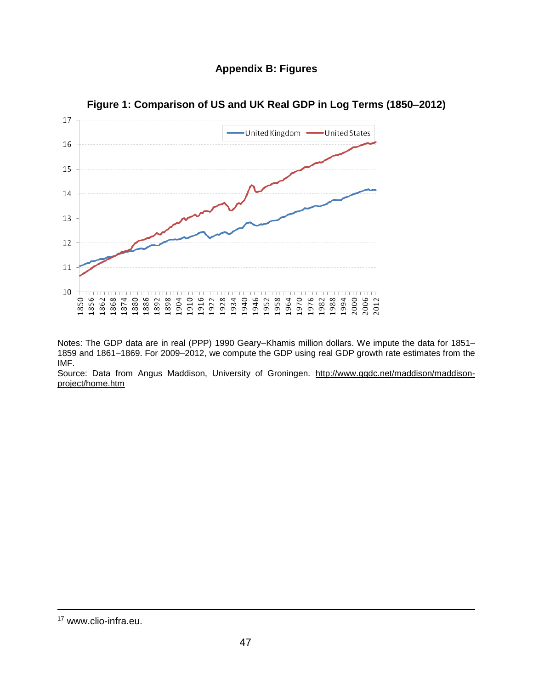**Appendix B: Figures**



**Figure 1: Comparison of US and UK Real GDP in Log Terms (1850–2012)**

Notes: The GDP data are in real (PPP) 1990 Geary–Khamis million dollars. We impute the data for 1851– 1859 and 1861–1869. For 2009–2012, we compute the GDP using real GDP growth rate estimates from the IMF.

Source: Data from Angus Maddison, University of Groningen. [http://www.ggdc.net/maddison/maddison](http://www.ggdc.net/maddison/maddison-project/home.htm)[project/home.htm](http://www.ggdc.net/maddison/maddison-project/home.htm)

 $\overline{a}$ 

<sup>17</sup> www.clio-infra.eu.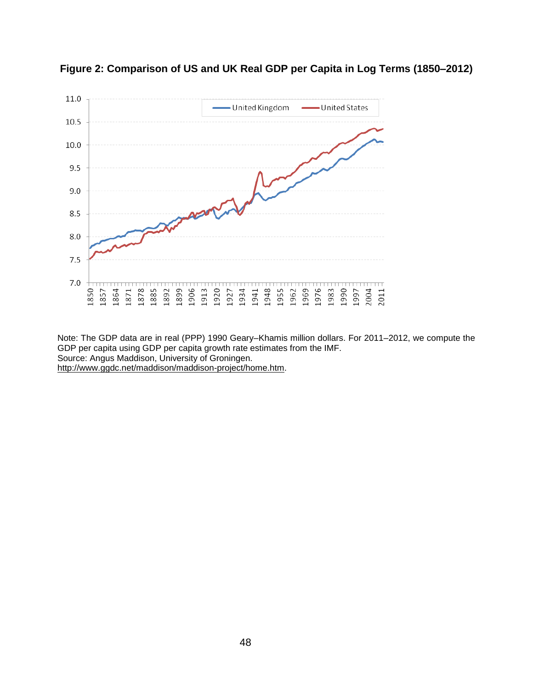

**Figure 2: Comparison of US and UK Real GDP per Capita in Log Terms (1850–2012)**

Note: The GDP data are in real (PPP) 1990 Geary–Khamis million dollars. For 2011–2012, we compute the GDP per capita using GDP per capita growth rate estimates from the IMF. Source: Angus Maddison, University of Groningen.

[http://www.ggdc.net/maddison/maddison-project/home.htm.](http://www.ggdc.net/maddison/maddison-project/home.htm)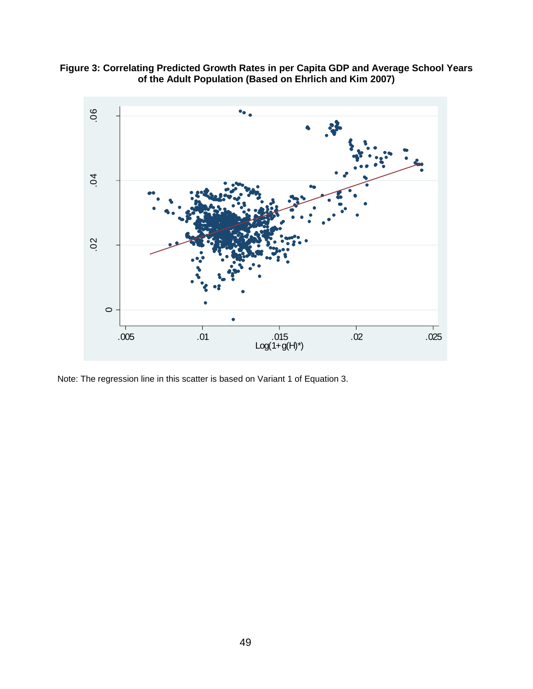**Figure 3: Correlating Predicted Growth Rates in per Capita GDP and Average School Years of the Adult Population (Based on Ehrlich and Kim 2007)**



Note: The regression line in this scatter is based on Variant 1 of Equation 3.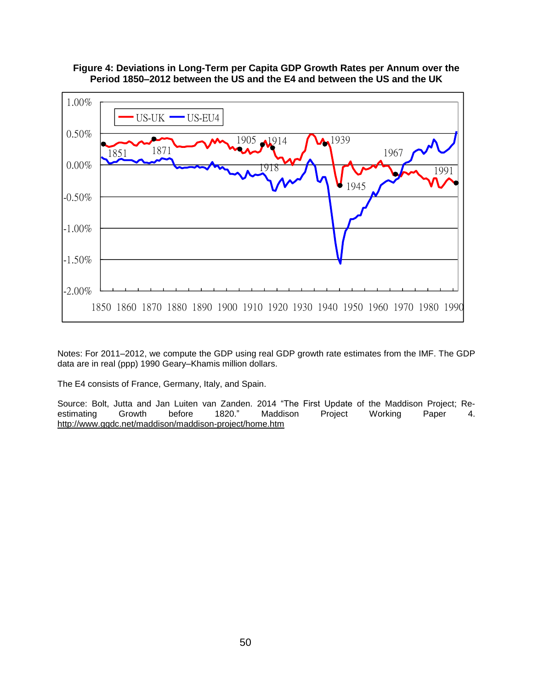



Notes: For 2011–2012, we compute the GDP using real GDP growth rate estimates from the IMF. The GDP data are in real (ppp) 1990 Geary–Khamis million dollars.

The E4 consists of France, Germany, Italy, and Spain.

Source: Bolt, Jutta and Jan Luiten van Zanden. 2014 "The First Update of the Maddison Project; Re-<br>
estimating Growth before 1820." Maddison Project Working Paper 4. estimating Growth before 1820." Maddison Project Working Paper 4. <http://www.ggdc.net/maddison/maddison-project/home.htm>